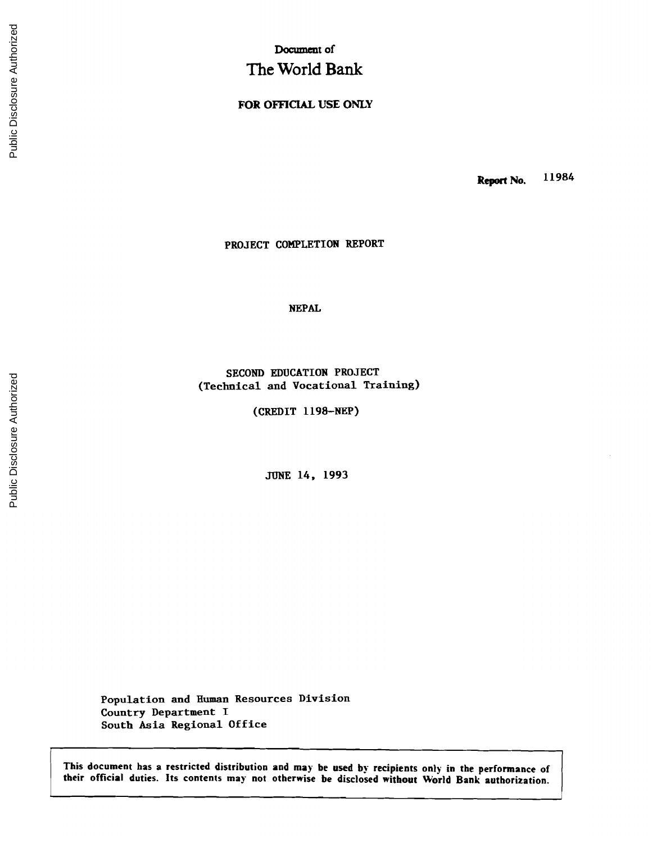**Document of**  The **World Bank** 

**FOR OFFICIAL USE ONLY** 

**Report No. 11984** 

**PROJECT COMPLETION REPORT** 

**NEPAL** 

**SECOND EDUCATION PROJECT (Technical and Vocational Training)** 

**(CREDIT 1198-NEP)** 

JUNE 14, 1993

**Population and Human Resources Division Country Department I South Asia Regional Office** 

**This document has a restricted distribution and may be used by recipients only in the performance of their official duties. Its contents may not otherwise be disclosed without World Bank authorization.**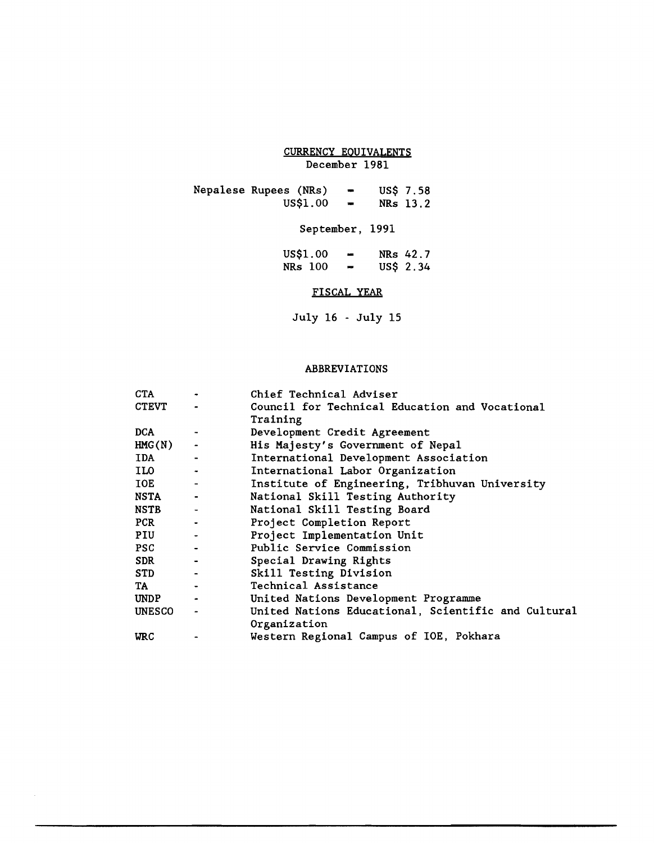CURRENCY EOUIVALENTS December 1981

Nepalese Rupees (NRs) = US\$ 7.58  $US$1.00 - NRs 13.2$ 

September, 1991

 $US$1.00$  = NRs 42.7<br>NRs 100 = US\$ 2.34 US\$ 2.34

FISCAL YEAR

July 16 - July 15

#### ABBREVIATIONS

|                                 | Chief Technical Adviser                             |
|---------------------------------|-----------------------------------------------------|
|                                 | Council for Technical Education and Vocational      |
|                                 | Training                                            |
|                                 | Development Credit Agreement                        |
|                                 | His Majesty's Government of Nepal                   |
| $\blacksquare$                  | International Development Association               |
|                                 | International Labor Organization                    |
|                                 | Institute of Engineering, Tribhuvan University      |
| $\blacksquare$                  | National Skill Testing Authority                    |
| $\overline{\phantom{a}}$        | National Skill Testing Board                        |
| $\blacksquare$                  | Project Completion Report                           |
|                                 | Project Implementation Unit                         |
| $\frac{1}{2}$                   | Public Service Commission                           |
| $\frac{1}{2}$ and $\frac{1}{2}$ | Special Drawing Rights                              |
| $\blacksquare$                  | Skill Testing Division                              |
|                                 | Technical Assistance                                |
| $\blacksquare$                  | United Nations Development Programme                |
|                                 | United Nations Educational, Scientific and Cultural |
|                                 | Organization                                        |
|                                 | Western Regional Campus of IOE, Pokhara             |
|                                 | $\sim$ $\sim$<br><b>Contract Contract</b><br>$\sim$ |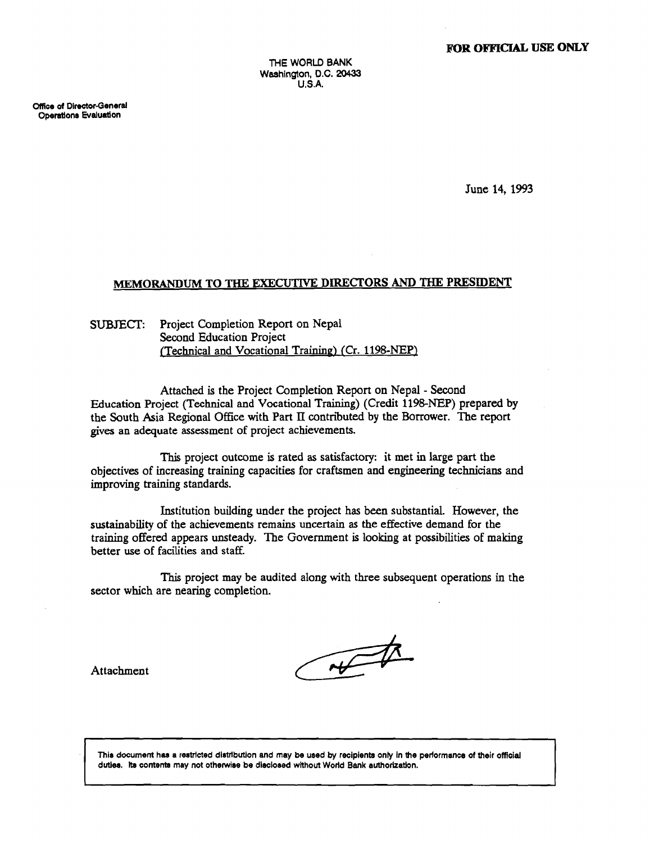THE **WORU) BANK Washington, D.C. 20433 U.S.A.** 

**(Mice of Dlrector-General Operations Evaluation** 

June 14, 1993

#### **MEMORANDUM TO THE EXEXUTIVE DIRECTORS AND THE PRESIDENT**

#### **SUBJECT:** Project Completion Report on Nepal Second Education Project (Technical and Vocational Training) (Cr. 1198-NEP)

Attached is the Project Completion Report on Nepal - Second Education Project (Technical and Vocational Training) (Credit 1198-NEP) prepared by the South Asia Regional Office with Part **II** contributed by the Borrower. The report gives an adequate assessment of project achievements.

This project outcome is rated as satisfactory: it met in large part the objectives of increasing training capacities for craftsmen and engineering technicians and improving training standards.

Institution building under the project has been substantial. However, the sustainability of the achievements remains uncertain as the effective demand for the training offered appears unsteady. The Government is looking at possibilities OF making better use of facilities and staff.

This project may be audited along with three subsequent operations in the sector which are nearing completion.

 $\overrightarrow{r}$ 

Attachment

This document has a restricted distribution and may be used by recipients only in the performance of their official **dutlea. L content8 may not othemire be diwlored without World Bank authorization.**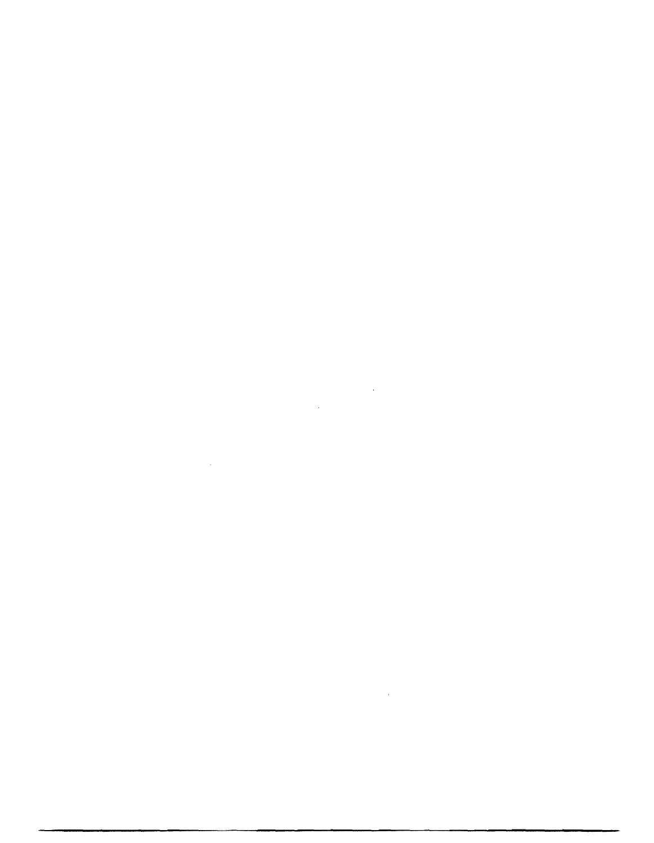$\label{eq:2.1} \frac{1}{\sqrt{2}}\int_{0}^{\infty}\frac{1}{\sqrt{2\pi}}\left(\frac{1}{\sqrt{2\pi}}\right)^{2}d\mu\left(\frac{1}{\sqrt{2\pi}}\right)\frac{d\mu}{d\mu}d\mu\left(\frac{1}{\sqrt{2\pi}}\right).$ 

 $\label{eq:2.1} \frac{1}{\sqrt{2}}\int_{\mathbb{R}^3}\frac{1}{\sqrt{2}}\left(\frac{1}{\sqrt{2}}\right)^2\frac{1}{\sqrt{2}}\left(\frac{1}{\sqrt{2}}\right)^2\frac{1}{\sqrt{2}}\left(\frac{1}{\sqrt{2}}\right)^2\frac{1}{\sqrt{2}}\left(\frac{1}{\sqrt{2}}\right)^2.$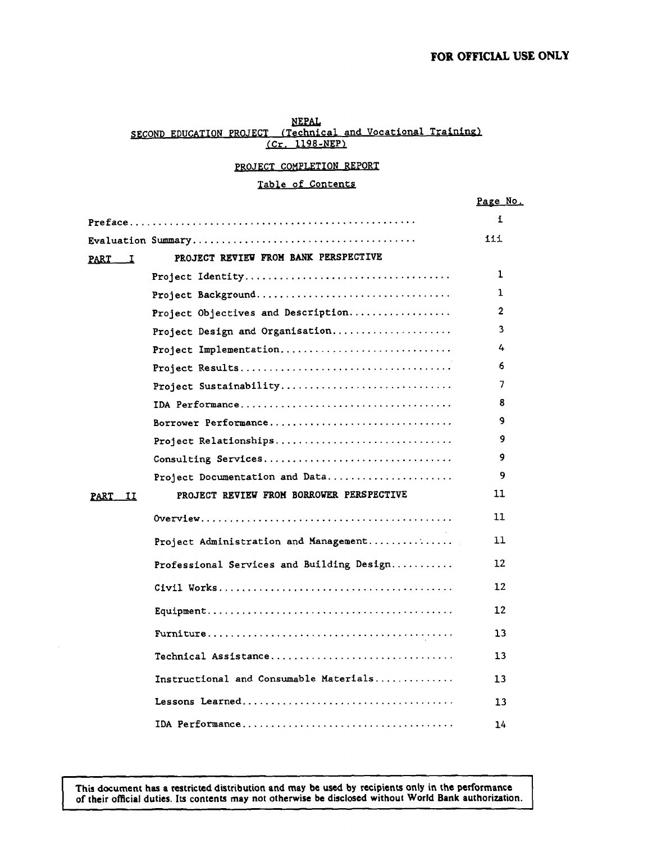#### **FOR OFFICIAL USE ONLY**

#### NEPAL SECOND EDUCATION PROJECT (Technical and Vocational Training) (Cr. 1198-NEP)

#### PROJECT COMPLETION REPORT

|         |                                                                                         | FOR OFFICIAL USE ONLY          |
|---------|-----------------------------------------------------------------------------------------|--------------------------------|
|         |                                                                                         |                                |
|         | NEPAL<br>SECOND EDUCATION PROJECT (Technical and Vocational Training)<br>(Cr. 1198-NEP) |                                |
|         | PROJECT COMPLETION REPORT                                                               |                                |
|         | Table of Contents                                                                       |                                |
|         |                                                                                         | Page No.<br>$\mathbf{1}$       |
|         |                                                                                         | <b>111</b>                     |
|         | PROJECT REVIEW FROM BANK PERSPECTIVE                                                    | 1                              |
| PART I  | Project Background                                                                      | $\mathbf{1}$<br>$\overline{2}$ |
|         | Project Objectives and Description<br>Project Design and Organisation                   | $\overline{\mathbf{3}}$        |
|         | Project Implementation                                                                  | 4<br>6 <sub>1</sub>            |
|         | Project Sustainability                                                                  | $\overline{7}$                 |
|         |                                                                                         | 8                              |
|         | Borrower Performance<br>Project Relationships                                           | 9<br>9                         |
|         | Consulting Services                                                                     | 9                              |
| PART II | Project Documentation and Data<br>PROJECT REVIEW FROM BORROWER PERSPECTIVE              | 9<br>11                        |
|         |                                                                                         | 11                             |
|         | Project Administration and Management                                                   | 11                             |
|         | Professional Services and Building Design                                               | 12<br>12                       |
|         |                                                                                         | 12                             |
|         |                                                                                         | 13                             |
|         | Technical Assistance                                                                    | 13                             |
|         | Instructional and Consumable Materials                                                  | 13<br>13                       |

This document has a restricted distribution and may be used by recipients only in the performance<br>of their official duties. Its contents may not otherwise be disclosed without World Bank authorization.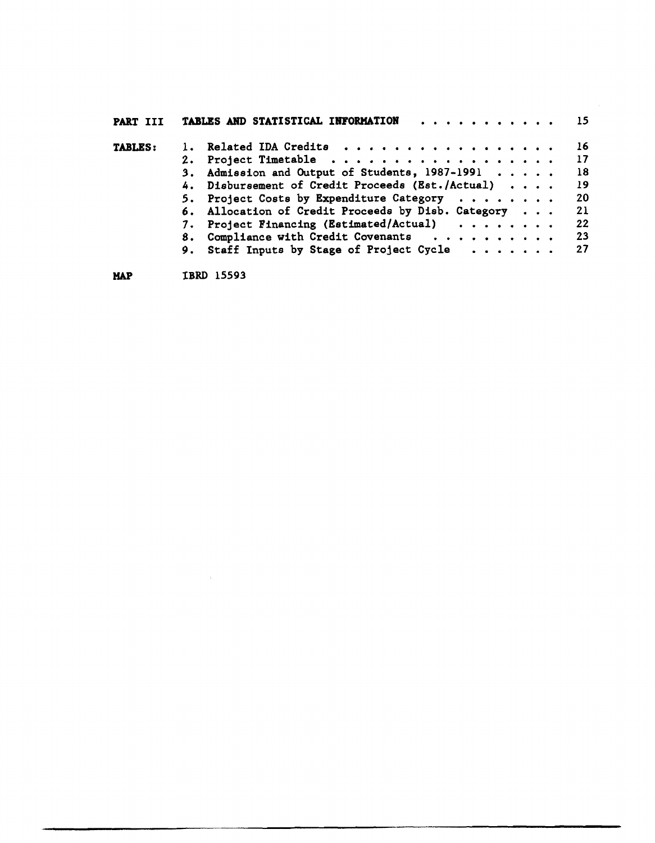| PART III       | TABLES AND STATISTICAL INFORMATION                 |  |  | -15  |
|----------------|----------------------------------------------------|--|--|------|
| <b>TABLES:</b> | 1. Related IDA Credits                             |  |  | - 16 |
|                | 2. Project Timetable                               |  |  | - 17 |
|                | 3. Admission and Output of Students, 1987-1991     |  |  | - 18 |
|                | 4. Disbursement of Credit Proceeds (Est./Actual)   |  |  | - 19 |
|                | 5. Project Costs by Expenditure Category           |  |  | - 20 |
|                | 6. Allocation of Credit Proceeds by Disb. Category |  |  | 21   |
|                | 7. Project Financing (Estimated/Actual)            |  |  | -22  |
|                | 8. Compliance with Credit Covenants                |  |  | -23  |
|                | 9. Staff Inputs by Stage of Project Cycle          |  |  | 27   |

**MAP IBRD 15593** 

 $\sim$   $\alpha$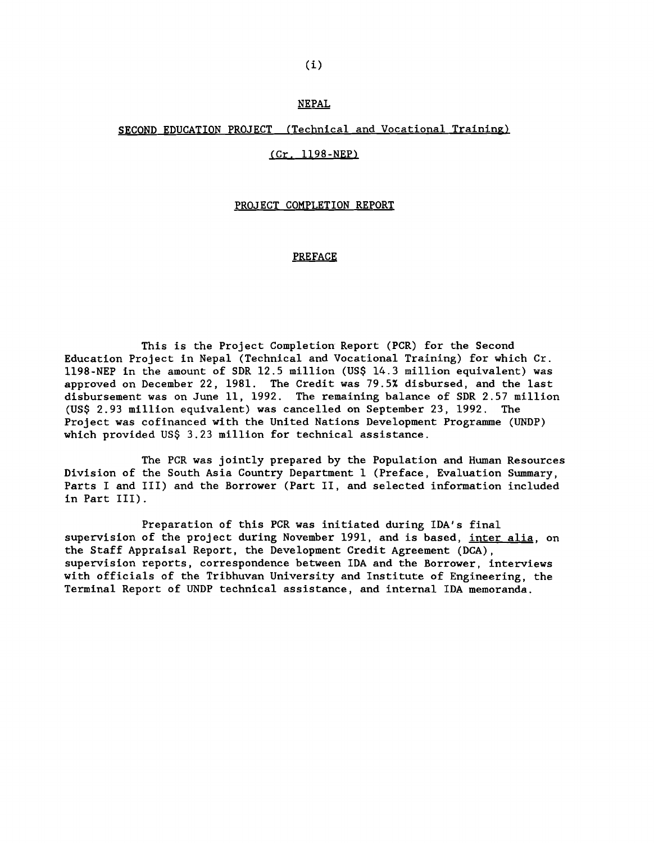#### NEPAL

#### SECOND EDUCATION PROJECT (Technical and Vocational Training)

#### $(Cr. 1198-NEP)$

#### PROJECT COMPLETION REPORT

#### PREFACE

This is the Project Completion Report (PCR) for the Second Education Project in Nepal (Technical and Vocational Training) for which Cr. 1198-NEP in the amount of SDR 12.5 million (US\$ 14.3 million equivalent) was approved on December 22, 1981. The Credit was 79.5% disbursed, and the last disbursement was on June 11, 1992. The remaining balance of SDR 2.57 million (US\$ 2.93 million equivalent) was cancelled on September 23, 1992. The Project was cofinanced with the United Nations Development Programme (UNDP) which provided US\$ 3.23 million for technical assistance.

The PCR was jointly prepared by the Population and Human Resources Division of the South Asia Country Department 1 (Preface, Evaluation Summary, Parts I and 111) and the Borrower (Part 11, and selected information included in Part 111).

Preparation of this PCR was initiated during IDA's final supervision of the project during November 1991, and is based, inter alia, on the Staff Appraisal Report, the Development Credit Agreement (DCA), supervision reports, correspondence between IDA and the Borrower, interviews with officials of the Tribhuvan University and Institute of Engineering, the Terminal Report of UNDP technical assistance, and internal IDA memoranda.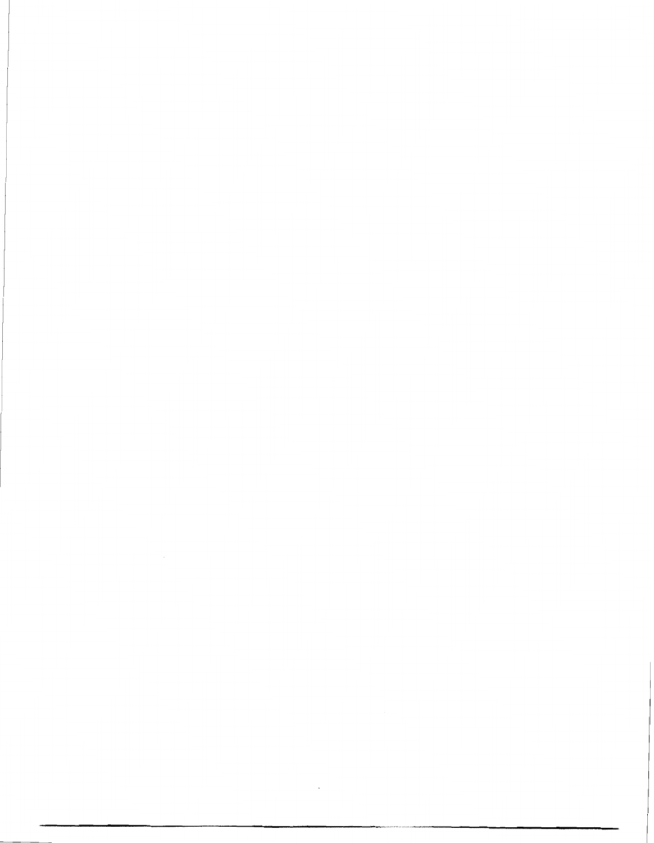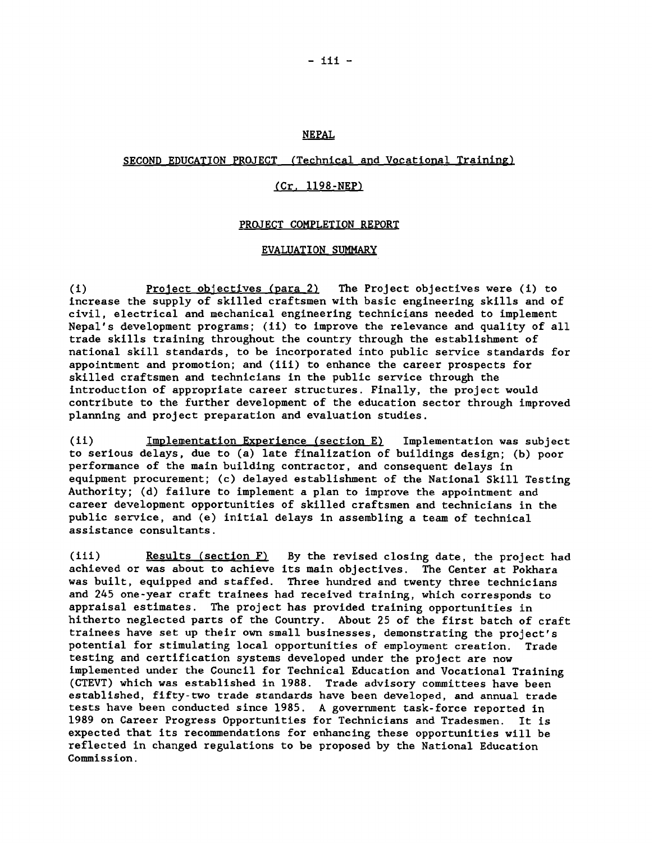#### NEPAL

#### SECOND EDUCATION PROJECT (Technical and Vocational Training)

#### (Cr. 1198-NEP)

#### PROJECT COMPLETION REPORT

#### EVALUATION SUMMARY

(i) Project objectives (para 2) The Project objectives were (i) to increase the supply of skilled craftsmen with basic engineering skills and of civil, electrical and mechanical engineering technicians needed to implement Nepal's development programs; (ii) to improve the relevance and quality of all trade skills training throughout the country through the establishment of national skill standards, to be incorporated into public service standards for appointment and promotion; and (iii) to enhance the career prospects for skilled craftsmen and technicians in the public service through the introduction of appropriate career structures. Finally, the project would contribute to the further development of the education sector through improved planning and project preparation and evaluation studies.

(ii) Implementation Experience (section E) Implementation was subject to serious delays, due to (a) late finalization of buildings design; (b) poor performance of the main building contractor, and consequent delays in equipment procurement; (c) delayed establishment of the National Skill Testing Authority; (d) failure to implement a plan to improve the appointment and career development opportunities of skilled craftsmen and technicians in the public service, and (e) initial delays in assembling a team of technical assistance consultants.

(iii) -(section By the revised closing date, the project had achieved or was about to achieve its main objectives. The Center at Pokhara was built, equipped and staffed. Three hundred and twenty three technicians and 245 one-year craft trainees had received training, which corresponds to appraisal estimates. The project has provided training opportunities in hitherto neglected parts of the Country. About 25 of the first batch of craft trainees have set up their own small businesses, demonstrating the project's potential for stimulating local opportunities of employment creation. Trade testing and certification systems developed under the project are now implemented under the Council for Technical Education and Vocational Training (CTEVT) which was established in 1988. Trade advisory committees have been established, fifty-two trade standards have been developed, and annual trade tests have been conducted since 1985. A government task-force reported in 1989 on Career Progress Opportunities for Technicians and Tradesmen. It is expected that its recommendations for enhancing these opportunities will be reflected in changed regulations to be proposed by the National Education Commission.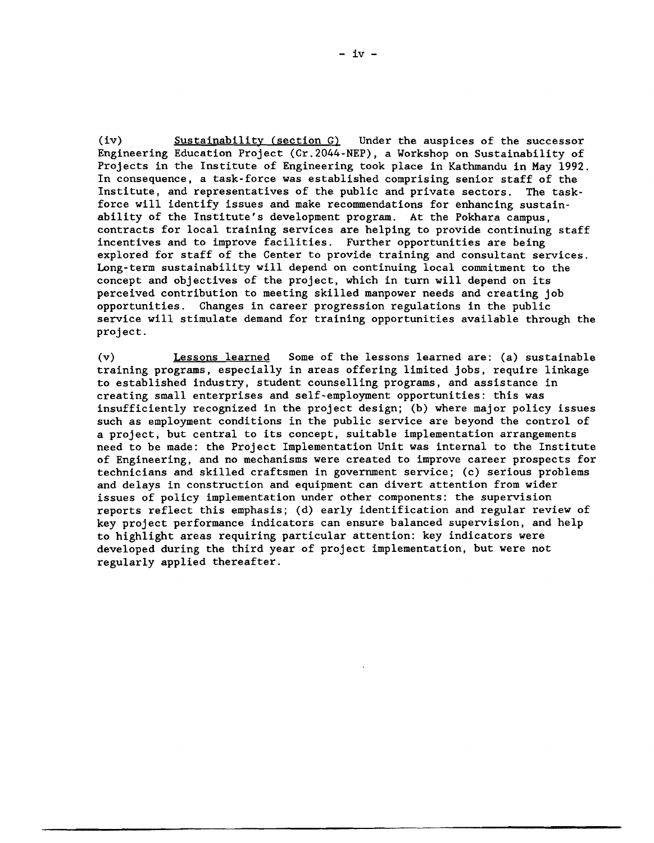(iv) Sustainability (section **G)** Under the auspices of the successor Engineering Education Project (Cr.2044-NEP), a Workshop on Sustainability of Projects in the Institute of Engineering took place in Kathmandu in May 1992. In consequence, a task-force was established comprising senior staff of the Institute, and representatives of the public and private sectors. The taskforce will identify issues and make recommendations for enhancing sustainability of the Institute's development program. At the Pokhara campus, contracts for local training services are helping to provide continuing staff incentives and to improve facilities. Further opportunities are being explored for staff of the Center to provide training and consultant services. Long-term sustainability will depend on continuing local commitment to the concept and objectives of the project, which in turn will depend on its perceived contribution to meeting skilled manpower needs and creating job opportunities. Changes in career progression regulations in the public service will stimulate demand for training opportunities available through the project.

(v) Lessons learned Some of the lessons learned are: (a) sustainable training programs, especially in areas offering limited jobs, require linkage to established industry, student counselling programs, and assistance in creating small enterprises and self-employment opportunities: this was insufficiently recognized in the project design; (b) where major policy issues such as employment conditions in the public service are beyond the control of a project, but central to its concept, suitable implementation arrangements need to be made: the Project Implementation Unit was internal to the Institute of Engineering, and no mechanisms were created to improve career prospects for technicians and skilled craftsmen in government service; (c) serious problems and delays in construction and equipment can divert attention from wider issues of policy implementation under other components: the supervision reports reflect this emphasis; (d) early identification and regular review of key project performance indicators can ensure balanced supervision, and help to highlight areas requiring particular attention: key indicators were developed during the third year of project implementation, but were not regularly applied thereafter.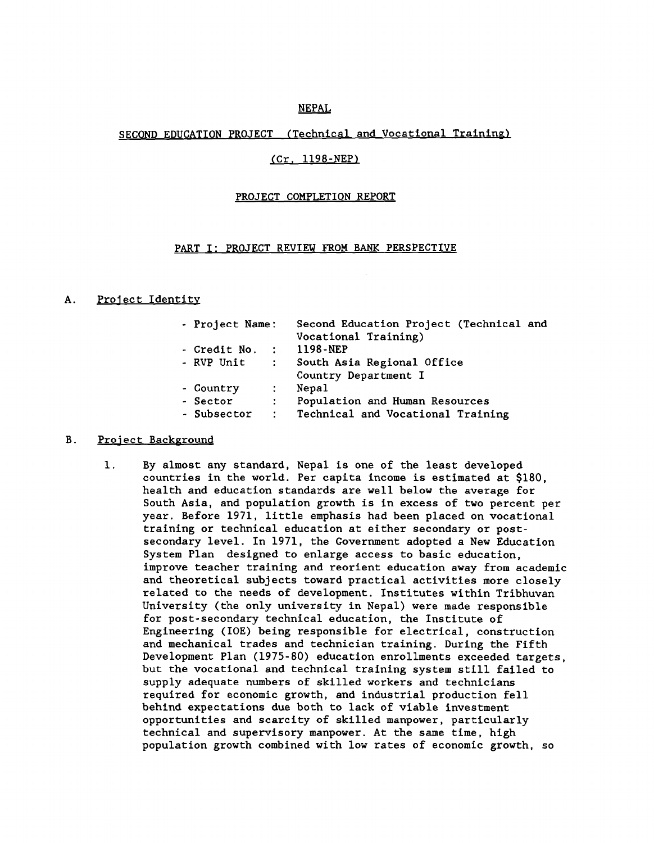#### **NEPAL**

#### SECOND EDUCATION PROJECT (Technical and Vocational Training)

#### $(Cr, 1198-NEP)$

#### PROJECT COMPLETION REPORT

#### PART I: PROJECT REVIEW FROM BANK PERSPECTIVE

#### A. Project Identity

| - Project Name: |                           | Second Education Project (Technical and<br>Vocational Training) |
|-----------------|---------------------------|-----------------------------------------------------------------|
| - Credit No. :  |                           | 1198-NEP                                                        |
| - RVP Unit      | $\sim$ 100 $\sim$         | South Asia Regional Office                                      |
|                 |                           | Country Department I                                            |
| - Country       | $\sim 100$                | Nepal                                                           |
| - Sector        | $\mathbb{R}^{\mathbb{Z}}$ | Population and Human Resources                                  |
| - Subsector     |                           | : Technical and Vocational Training                             |

#### B. Project Background

1. By almost any standard, Nepal is one of the least developed countries in the world. Per capita income is estimated at \$180, health and education standards are well below the average for South Asia, and population growth is in excess of two percent per year. Before 1971, little emphasis had been placed on vocational training or technical education at either secondary or postsecondary level. In 1971, the Government adopted a New Education System Plan designed to enlarge access to basic education, improve teacher training and reorient education away from academic and theoretical subjects toward practical activities more closely related to the needs of development. Institutes within Tribhuvan University (the only university in Nepal) were made responsible for post-secondary technical education, the Institute of Engineering (IOE) being responsible for electrical, construction and mechanical trades and technician training. During the Fifth Development Plan (1975-80) education enrollments exceeded targets, but the vocational and technical training system still failed to supply adequate numbers of skilled workers and technicians required for economic growth, and industrial production fell behind expectations due both to lack of viable investment opportunities and scarcity of skilled manpower, particularly technical and supervisory manpower. At the same time, high population growth combined with low rates of economic growth, so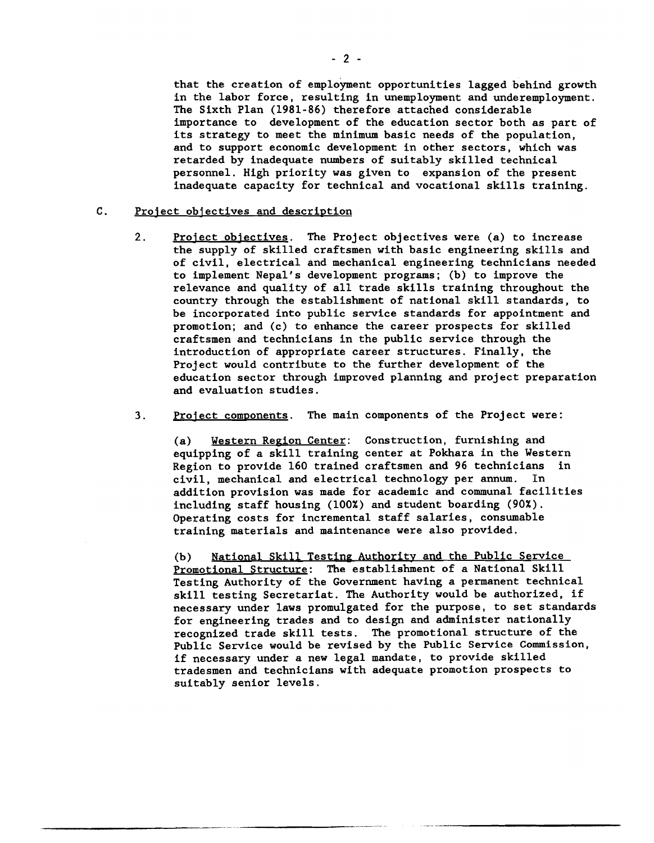that the creation of employment opportunities lagged behind growth in the labor force, resulting in unemployment and underemployment. The Sixth Plan (1981-86) therefore attached considerable importance to development of the education sector both as part of its strategy to meet the minimum basic needs of the population, and to support economic development in other sectors, which was retarded by inadequate numbers of suitably skilled technical personnel. High priority was given to expansion of the present inadequate capacity for technical and vocational skills training.

#### C. Proiect obiectives and description

- Project objectives. The Project objectives were (a) to increase  $2.$ the supply of skilled craftsmen with basic engineering skills and of civil, electrical and mechanical engineering technicians needed to implement Nepal's development programs; (b) to improve the relevance and quality of all trade skills training throughout the country through the establishment of national skill standards, to be incorporated into public service standards for appointment and promotion; and (c) to enhance the career prospects for skilled craftsmen and technicians in the public service through the introduction of appropriate career structures. Finally, the Project would contribute to the further development of the education sector through improved planning and project preparation and evaluation studies.
- 3. Project components. The main components of the Project were:

(a) Western Region Center: Construction, furnishing and equipping of a skill training center at Pokhara in the Western Region to provide 160 trained craftsmen and 96 technicians in civil, mechanical and electrical technology per annum. In addition provision was made for academic and communal facilities including staff housing (100%) and student boarding (90%). Operating costs for incremental staff salaries, consumable training materials and maintenance were also provided.

(b) National Skill Testing Authority and the Public Service Promotional Structure: The establishment of a National Skill Testing Authority of the Government having a permanent technical skill testing Secretariat. The Authority would be authorized, if necessary under laws promulgated for the purpose, to set standards for engineering trades and to design and administer nationally recognized trade skill tests. The promotional structure of the Public Service would be revised by the Public Service Commission, if necessary under a new legal mandate, to provide skilled tradesmen and technicians with adequate promotion prospects to suitably senior levels.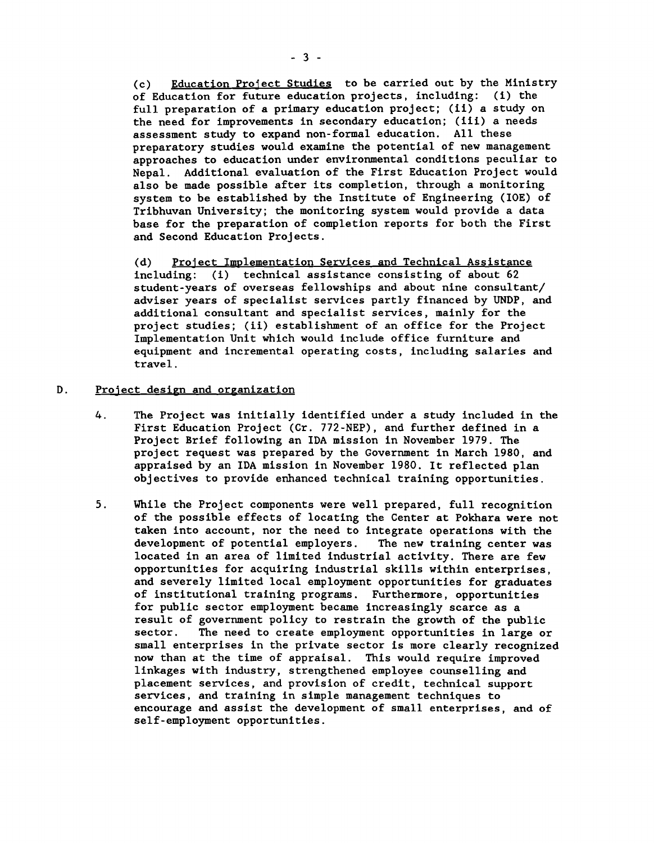(c) Education Project Studies to be carried out by the Ministry of Education for future education projects, including: (i) the full preparation of a primary education project; (ii) a study on the need for improvements in secondary education; (iii) a needs assessment study to expand non-formal education. All these preparatory studies would examine the potential of new management approaches to education under environmental conditions peculiar to Nepal. Additional evaluation of the First Education Project would also be made possible after its completion, through a monitoring system to be established by the Institute of Engineering (IOE) of Tribhuvan University; the monitoring system would provide a data base for the preparation of completion reports for both the First and Second Education Projects.

(d) Project Implementation Services and Technical Assistance including: (i) technical assistance consisting of about 62 student-years of overseas fellowships and about nine consultant/ adviser years of specialist services partly financed by UNDP, and additional consultant and specialist services, mainly for the project studies; (ii) establishment of an office for the Project Implementation Unit which would include office furniture and equipment and incremental operating costs, including salaries and travel.

#### D. Project design and organization

- *4.* The Project was initially identified under a study included in the First Education Project (Cr. 772-NEP), and further defined in a Project Brief following an IDA mission in November 1979. The project request was prepared by the Government in March 1980, and appraised by an IDA mission in November 1980. It reflected plan objectives to provide enhanced technical training opportunities.
- 5. While the Project components were well prepared, full recognition of the possible effects of locating the Center at Pokhara were not taken into account, nor the need to integrate operations with the development of potential employers. The new training center was located in an area of limited industrial activity. There are few opportunities for acquiring industrial skills within enterprises, and severely limited local employment opportunities for graduates of institutional training programs. Furthermore, opportunities for public sector employment became increasingly scarce as a result of government policy to restrain the growth of the public sector. The need to create employment opportunities in large or small enterprises in the private sector is more clearly recognized now than at the time of appraisal. This would require improved linkages with industry, strengthened employee counselling and placement services, and provision of credit, technical support services, and training in simple management techniques to encourage and assist the development of small enterprises, and of self-employment opportunities.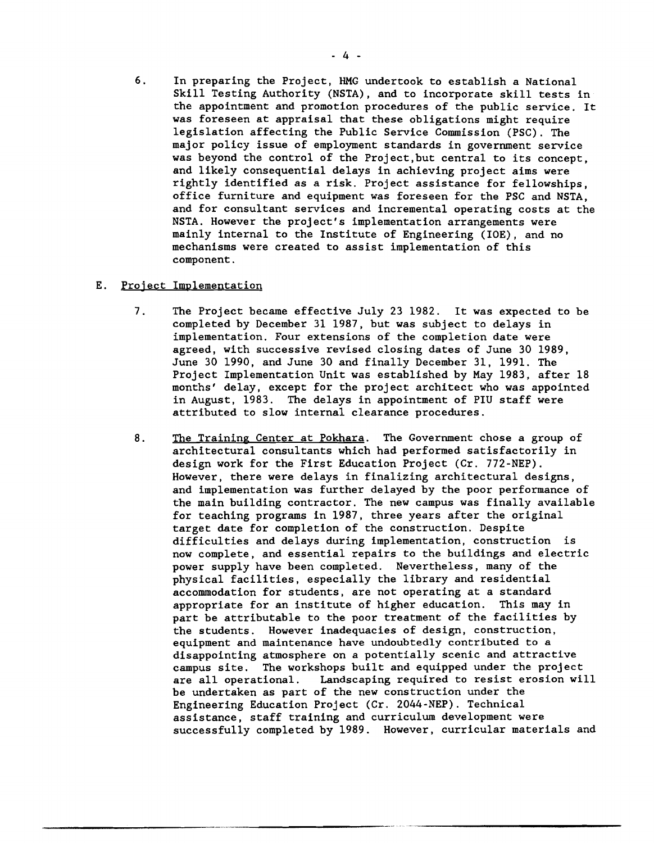**6.** In preparing the Project, HMG undertook to establish a National Skill Testing Authority (NSTA), and to incorporate skill tests in the appointment and promotion procedures of the public service. It was foreseen at appraisal that these obligations might require legislation affecting the Public Service Commission (PSC). The major policy issue of employment standards in government service was beyond the control of the Project,but central to its concept, and likely consequential delays in achieving project aims were rightly identified as a risk. Project assistance for fellowships, office furniture and equipment was foreseen for the PSC and NSTA, and for consultant services and incremental operating costs at the NSTA. However the project's implementation arrangements were mainly internal to the Institute of Engineering (IOE), and no mechanisms were created to assist implementation of this component.

#### E. Project Implementation

- The Project became effective July 23 1982. It was expected to be  $7.$ completed by December 31 1987, but was subject to delays in implementation. Four extensions of the completion date were agreed, with successive revised closing dates of June 30 1989, June 30 1990, and June 30 and finally December 31, 1991. The Project Implementation Unit was established by May 1983, after 18 months' delay, except for the project architect who was appointed in August, 1983. The delays in appointment of PIU staff were attributed to slow internal clearance procedures.
- 8. The Training Center at Pokhara. The Government chose a group of architectural consultants which had performed satisfactorily in design work for the First Education Project (Cr. 772-NEP). However, there were delays in finalizing architectural designs, and implementation was further delayed by the poor performance of the main building contractor. The new campus was finally available for teaching programs in 1987, three years after the original target date for completion of the construction. Despite difficulties and delays during implementation, construction is now complete, and essential repairs to the buildings and electric power supply have been completed. Nevertheless, many of the physical facilities, especially the library and residential accommodation for students, are not operating at a standard appropriate for an institute of higher education. This may in part be attributable to the poor treatment of the facilities by the students. However inadequacies of design, construction, equipment and maintenance have undoubtedly contributed to a disappointing atmosphere on a potentially scenic and attractive campus site. The workshops built and equipped under the project<br>are all operational. Landscaping required to resist erosion wil Landscaping required to resist erosion will be undertaken as part of the new construction under the Engineering Education Project (Cr. 2044-NEP). Technical assistance, staff training and curriculum development were successfully completed by 1989. However, curricular materials and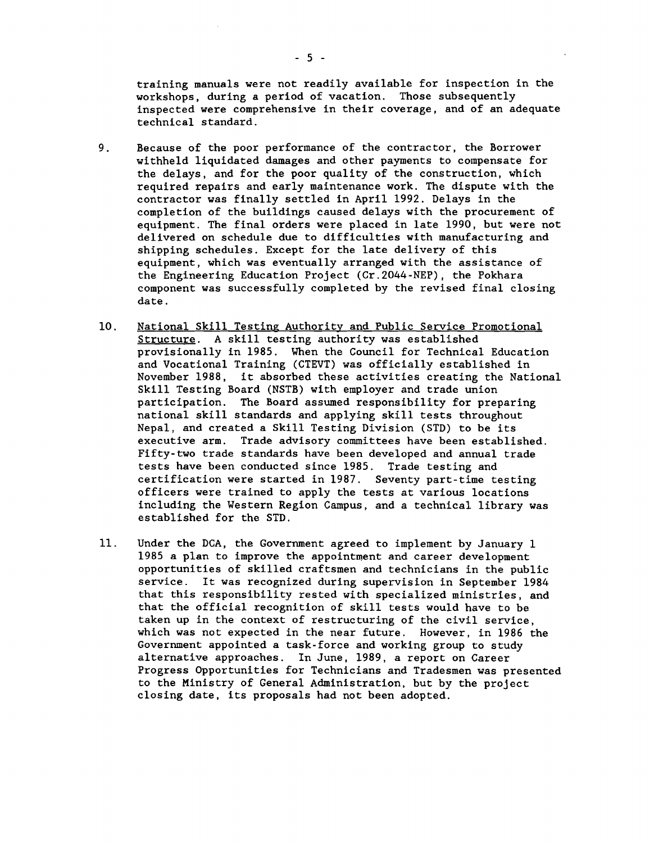training manuals were not readily available for inspection in the workshops, during a period of vacation. Those subsequently inspected were comprehensive in their coverage, and of an adequate technical standard.

- 9. Because of the poor performance of the contractor, the Borrower withheld liquidated damages and other payments to compensate for the delays, and for the poor quality of the construction, which required repairs and early maintenance work. The dispute with the contractor was finally settled in April 1992. Delays in the completion of the buildings caused delays with the procurement of equipment. The final orders were placed in late 1990, but were not delivered on schedule due to difficulties with manufacturing and shipping schedules. Except for the late delivery of this equipment, which was eventually arranged with the assistance of the Engineering Education Project (Cr.2044-NEP), the Pokhara component was successfully completed by the revised final closing date.
- 10. National Skill Testing Authoritv and Public Service Promotional Structure. A skill testing authority was established provisionally in 1985. When the Council for Technical Education and Vocational Training (CTEVT) was officially established in November 1988, it absorbed these activities creating the National Skill Testing Board (NSTB) with employer and trade union participation. The Board assumed responsibility for preparing national skill standards and applying skill tests throughout Nepal, and created a Skill Testing Division (STD) to be its executive arm. Trade advisory committees have been established. Fifty-two trade standards have been developed and annual trade tests have been conducted since 1985. Trade testing and certification were started in 1987. Seventy part-time testing officers were trained to apply the tests at various locations including the Western Region Campus, and a technical library was established for the STD.
- $11.$ Under the DCA, the Government agreed to implement by January 1 1985 a plan to improve the appointment and career development opportunities of skilled craftsmen and technicians in the public service. It was recognized during supervision in September 1984 that this responsibility rested with specialized ministries, and that the official recognition of skill tests would have to be taken up in the context of restructuring of the civil service, which was not expected in the near future. However, in 1986 the Government appointed a task-force and working group to study alternative approaches. In June, 1989, a report on Career Progress Opportunities for Technicians and Tradesmen was presented to the Ministry of General Administration, but by the project closing date, its proposals had not been adopted.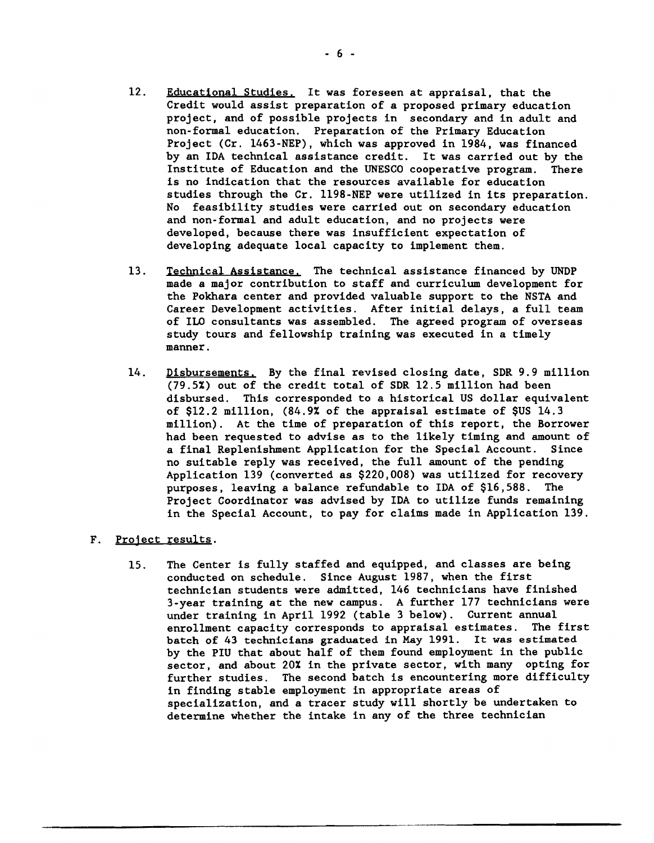- $12.$ Educational Studies, It was foreseen at appraisal, that the Credit would assist preparation of a proposed primary education project, and of possible projects in secondary and in adult and non-formal education. Preparation of the Primary Education Project (Cr. 1463-NEP), which was approved in 1984, was financed by an IDA technical assistance credit. It was carried out by the Institute of Education and the UNESCO cooperative program. There is no indication that the resources available for education studies through the Cr. 1198-NEP were utilized in its preparation No feasibility studies were carried out on secondary education and non-formal and adult education, and no projects were developed, because there was insufficient expectation of developing adequate local capacity to implement them.
- 13. Technical Assistance. The technical assistance financed by UNDP made a major contribution to staff and curriculum development for the Pokhara center and provided valuable support to the NSTA and Career Development activities. After initial delays, a full team of ILO consultants was assembled. The agreed program of overseas study tours and fellowship training was executed in a timely manner.
- 14. Disbursements, By the final revised closing date, SDR 9.9 million (79.5%) out of the credit total of SDR 12.5 million had been disbursed. This corresponded to a historical US dollar equivalent of \$12.2 million, (84.9% of the appraisal estimate of \$US 14.3 million). At the time of preparation of this report, the Borrower had been requested to advise as to the likely timing and amount of a final Replenishment Application for the Special Account. Since no suitable reply was received, the full amount of the pending Application 139 (converted as \$220,008) was utilized for recovery purposes, leaving a balance refundable to IDA of \$16,588. The Project Coordinator was advised by IDA to utilize funds remaining in the Special Account, to pay for claims made in Application 139.
- **I?.** Project results.
	- The Center is fully staffed and equipped, and classes are being  $15.$ conducted on schedule. Since August 1987, when the first technician students were admitted, 146 technicians have finished 3-year training at the new campus. A further 177 technicians were under training in April 1992 (table 3 below). Current annual enrollment capacity corresponds to appraisal estimates. The first batch of 43 technicians graduated in May 1991. It was estimated by the PIU that about half of them found employment in the public sector, and about 20% in the private sector, with many opting for further studies. The second batch is encountering more difficulty in finding stable employment in appropriate areas of specialization, and a tracer study will shortly be undertaken to determine whether the intake in any of the three technician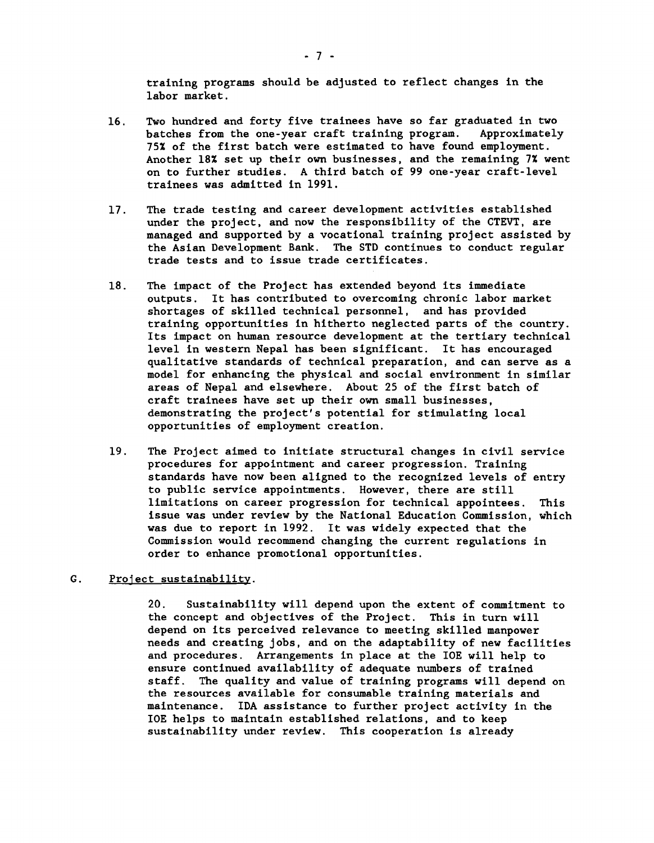training programs should be adjusted to reflect changes in the labor market.

- 16. Two hundred and forty five trainees have so far graduated in two batches from the one-year craft training program. 75% of the first batch were estimated to have found employment. Another 18% set up their own businesses, and the remaining 7% went on to further studies. A third batch of 99 one-year craft-level trainees was admitted in 1991.
- 17. The trade testing and career development activities established under the project, and now the responsibility of the CTEVT, are managed and supported by a vocational training project assisted by the Asian Development Bank. The STD continues to conduct regular trade tests and to issue trade certificates.
- 18. The impact of the Project has extended beyond its immediate outputs. It has contributed to overcoming chronic labor market shortages of skilled technical personnel, and has provided training opportunities in hitherto neglected parts of the country. Its impact on human resource development at the tertiary technical level in western Nepal has been significant. It has encouraged qualitative standards of technical preparation, and can serve as a model for enhancing the physical and social environment in similar areas of Nepal and elsewhere. About 25 of the first batch of craft trainees have set up their own small businesses, demonstrating the project's potential for stimulating local opportunities of employment creation.
- 19. The Project aimed to initiate structural changes in civil service procedures for appointment and career progression. Training standards have now been aligned to the recognized levels of entry to public service appointments. However, there are still limitations on career progression for technical appointees. This issue was under review by the National Education Commission, which was due to report in 1992. It was widely expected that the Commission would recommend changing the current regulations in order to enhance promotional opportunities.

#### G. Project sustainabilitv.

20. Sustainability will depend upon the extent of commitment to the concept and objectives of the Project. This in turn will depend on its perceived relevance to meeting skilled manpower needs and creating jobs, and on the adaptability of new facilities and procedures. Arrangements in place at the IOE will help to ensure continued availability of adequate numbers of trained staff. The quality and value of training programs will depend on the resources available for consumable training materials and maintenance. IDA assistance to further project activity in the IOE helps to maintain established relations, and to keep sustainability under review. This cooperation is already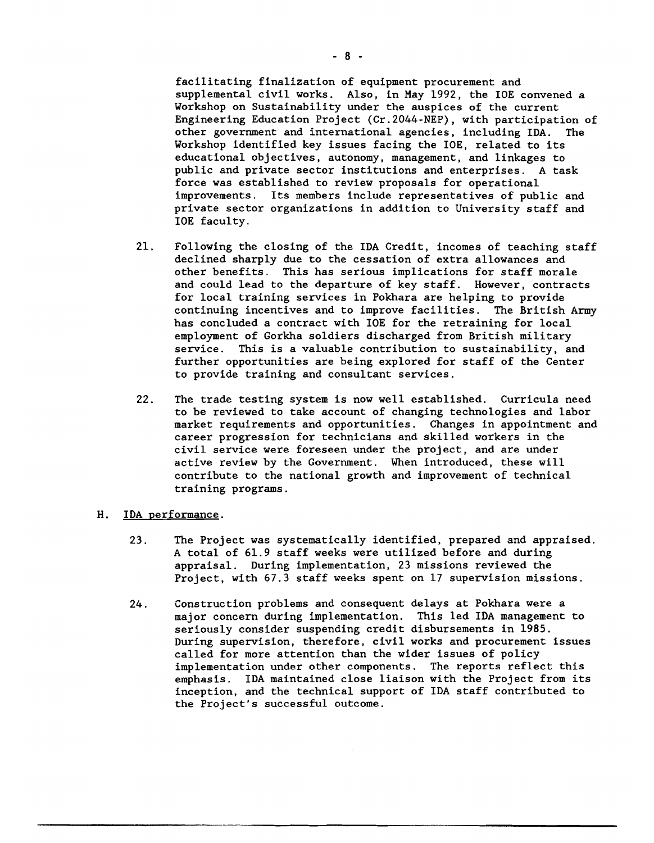facilitating finalization of equipment procurement and supplemental civil works. Also, in May 1992, the IOE convened a Workshop on Sustainability under the auspices of the current Engineering Education Project (Cr.2044-NEP), with participation of other government and international agencies, including IDA. The Workshop identified key issues facing the IOE, related to its educational objectives, autonomy, management, and linkages to public and private sector institutions and enterprises. A task force was established to review proposals for operational improvements. Its members include representatives of public and private sector organizations in addition to University staff and IOE faculty.

- $21.$ Following the closing of the IDA Credit, incomes of teaching staff declined sharply due to the cessation of extra allowances and other benefits. This has serious implications for staff morale and could lead to the departure of key staff. However, contracts for local training services in Pokhara are helping to provide continuing incentives and to improve facilities. The British Army has concluded a contract with IOE for the retraining for local employment of Gorkha soldiers discharged from British military service. This is a valuable contribution to sustainability, and further opportunities are being explored for staff of the Center to provide training and consultant services.
- 22. The trade testing system is now well established. Curricula need to be reviewed to take account of changing technologies and labor market requirements and opportunities. Changes in appointment and career progression for technicians and skilled workers in the civil service were foreseen under the project, and are under active review by the Government. When introduced, these will contribute to the national growth and improvement of technical training programs.
- H. IDA performance.
	- 23. The Project was systematically identified, prepared and appraised. A total of 61.9 staff weeks were utilized before and during appraisal. During implementation, 23 missions reviewed the Project, with 67.3 staff weeks spent on 17 supervision missions.
	- 24. Construction problems and consequent delays at Pokhara were a major concern during implementation. This led IDA management to seriously consider suspending credit disbursements in 1985. During supervision, therefore, civil works and procurement issues called for more attention than the wider issues of policy implementation under other components. The reports reflect this emphasis. IDA maintained close liaison with the Project from its inception, and the technical support of IDA staff contributed to the Project's successful outcome.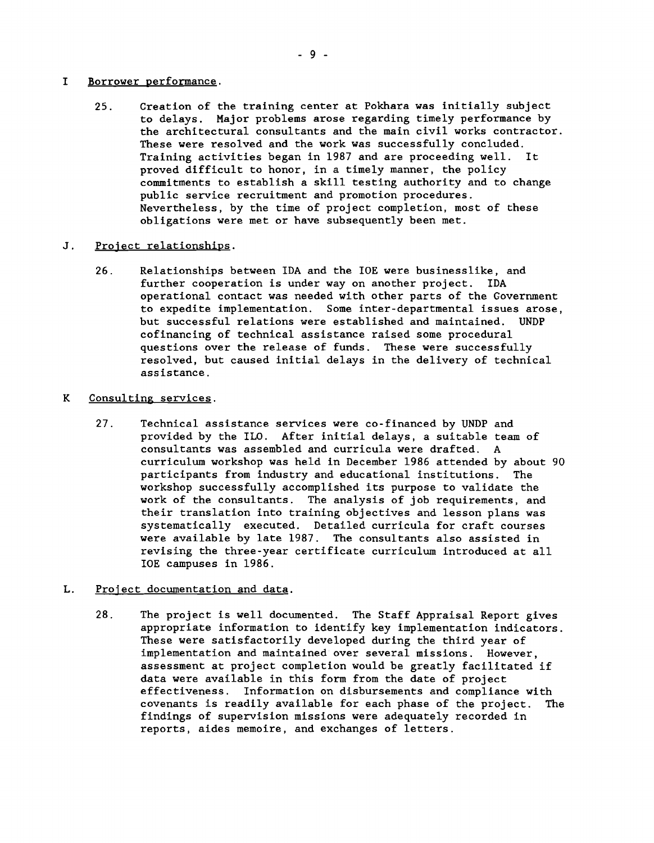#### Borrower performance.  $\mathbf{I}$

25. Creation of the training center at Pokhara was initially subject to delays. Major problems arose regarding timely performance by the architectural consultants and the main civil works contractor. These were resolved and the work was successfully concluded. Training activities began in 1987 and are proceeding well. It proved difficult to honor, in a timely manner, the policy commitments to establish a skill testing authority and to change public service recruitment and promotion procedures. Nevertheless, by the time of project completion, most of these obligations were met or have subsequently been met.

#### J. Project relationships.

26. Relationships between IDA and the IOE were businesslike, and further cooperation is under way on another project. IDA operational contact was needed with other parts of the Government to expedite implementation. Some inter-departmental issues arose, but successful relations were established and maintained. UNDP cofinancing of technical assistance raised some procedural questions over the release of funds. These were successfully resolved, but caused initial delays in the delivery of technical assistance.

#### Consulting services.  $\mathbf K$

27. Technical assistance services were co-financed by UNDP and provided by the ILO. After initial delays, a suitable team of consultants was assembled and curricula were drafted. A curriculum workshop was held in December 1986 attended by about 90 participants from industry and educational institutions. The workshop successfully accomplished its purpose to validate the work of the consultants. The analysis of job requirements, and their translation into training objectives and lesson plans was systematically executed. Detailed curricula for craft courses were available by late 1987. The consultants also assisted in revising the three-year certificate curriculum introduced at all IOE campuses in 1986.

#### L. Project documentation and data.

28. The project is well documented. The Staff Appraisal Report gives appropriate information to identify key implementation indicators. These were satisfactorily developed during the third year of implementation and maintained over several missions. However, assessment at project completion would be greatly facilitated if data were available in this form from the date of project effectiveness. Information on disbursements and compliance with covenants is readily available for each phase of the project. The findings of supervision missions were adequately recorded in reports, aides memoire, and exchanges of letters.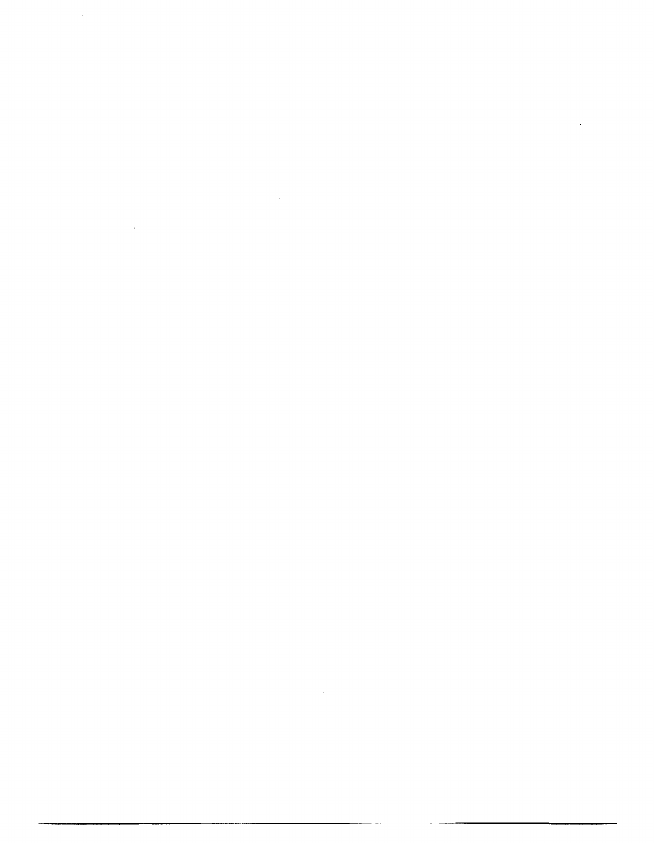$\sim 10^{-1}$  $\mathcal{L}^{\text{max}}_{\text{max}}$  ,  $\mathcal{L}^{\text{max}}_{\text{max}}$  $\label{eq:2.1} \frac{1}{\sqrt{2}}\int_{\mathbb{R}^3}\frac{1}{\sqrt{2}}\left(\frac{1}{\sqrt{2}}\right)^2\frac{1}{\sqrt{2}}\left(\frac{1}{\sqrt{2}}\right)^2\frac{1}{\sqrt{2}}\left(\frac{1}{\sqrt{2}}\right)^2\frac{1}{\sqrt{2}}\left(\frac{1}{\sqrt{2}}\right)^2\frac{1}{\sqrt{2}}\left(\frac{1}{\sqrt{2}}\right)^2\frac{1}{\sqrt{2}}\frac{1}{\sqrt{2}}\frac{1}{\sqrt{2}}\frac{1}{\sqrt{2}}\frac{1}{\sqrt{2}}\frac{1}{\sqrt{2}}$  $\mathcal{L}^{\text{max}}_{\text{max}}$  and  $\mathcal{L}^{\text{max}}_{\text{max}}$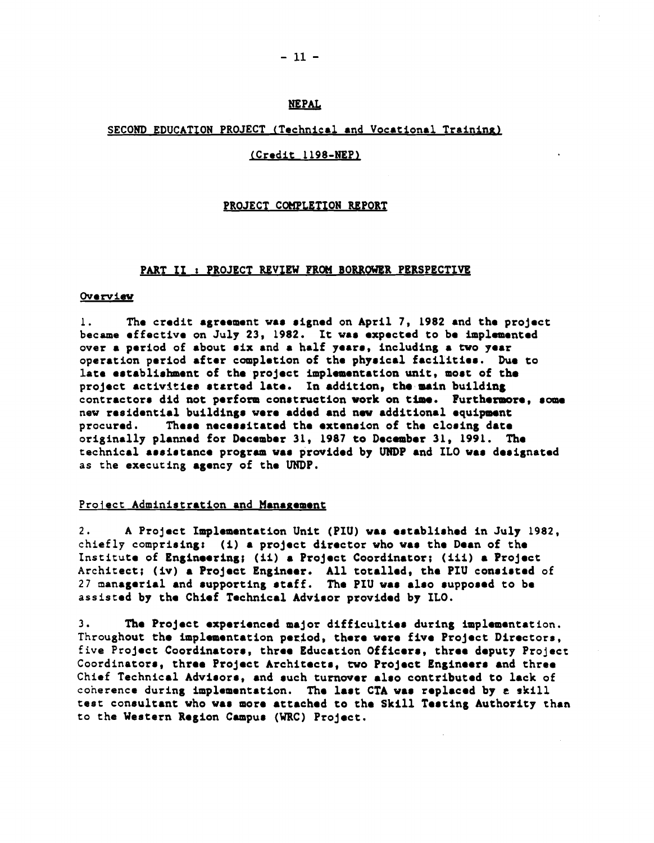#### **NEPAL**

#### SECOND EDUCATION PROJECT (Technical and Vocational Training)

#### (Credit 1198-NEP)

#### **PROJECT COMPLETION REPORT**

#### PART II : PROJECT REVIEW FROM BORROWER PERSPECTIVE

#### Overview

**1. The credit agreement war rigned on April 7, 1982 and the project became effective on July 23, 1982. It war expected to be implomantad**  over a period of about six and a half years, including a two year **operation period after completion of the phyrical facilitier. Due to**  late establishment of the project implementation unit, most of the **projact activities rtrrted late. In addition, tho main building**  contractors did not perform construction work on time. Furthermore, some **new residential buildingo ware added and now additional equipment**  procured. These necessitated the extension of the closing date **originally planned for December 31, 1987 to Dacembor 31, 1991. The**  technical assistance program was provided by UNDP and ILO was designated **as the executing agency of the UNDP.** 

#### Project Administration and Management

**2. A Project Implementation Unit (PIU) var artablirhad in July 1982,**  chiefly comprising: (i) a project director who was the Dean of the **Institute of Engineering; (ii) a Projact Coordinator; (iii) a Project**  Architect; (iv) a Project Engineer. All totalled, the PIU consisted of **27 managerial and rupporting rtaff. The PIU var .loo rupporad to be assisted by the Chief Technical Adviror providad by ILO.** 

**3. The Project experienced major difficultier during implementation. Throughout tho implomantation period, there verm five Projact Directors,**  five Project Coordinators, three Education Officers, three deputy Project Coordinators, three Project Architects, two Project Engineers and three Chief Technical Advisors, and such turnover also contributed to lack of coherence during implementation. The last CTA was replaced by *e* skill test consultant who was more attached to the Skill Testing Authority than to the Western Region Campus (WRC) Project.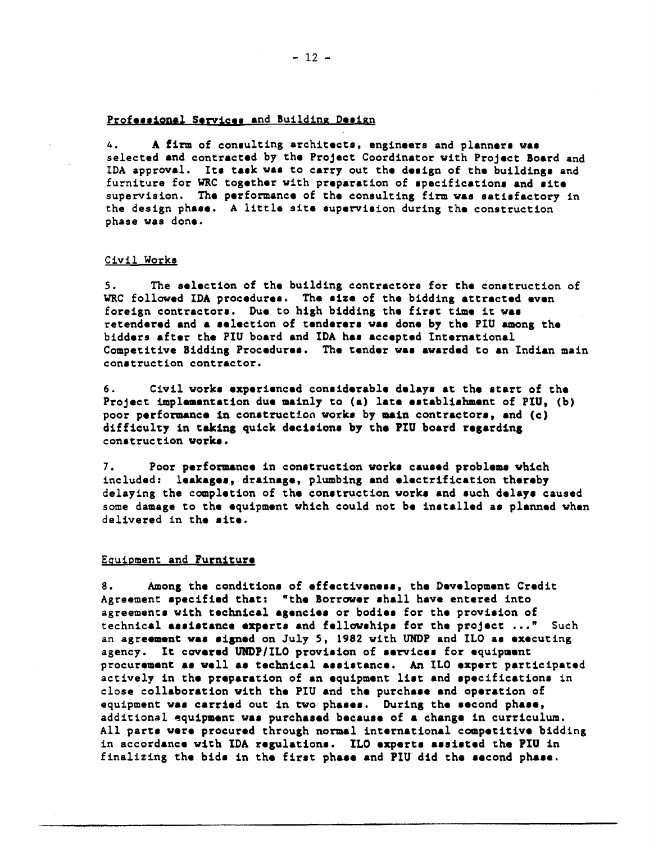#### Professional Services and Building Design

A firm of consulting architects, engineers and planners was  $4$ selected and contracted by the Project Coordinator with Project Board and IDA approval. Its task was to carry out the design of the buildings and furniture for WRC together with preparation of specifications and site supervision. The performance of the consulting firm was satisfactory in the design phase. A little site supervision during the construction phase was done.

#### Civil Works

The selection of the building contractors for the construction of  $5.$ WRC followed IDA procedures. The size of the bidding attracted even foreign contractors. Due to high bidding the first time it was retendered and a selection of tenderers was done by the PIU among the bidders after the PIU board and IDA has accepted International Competitive Bidding Procedures. The tender was awarded to an Indian main construction contractor.

Civil works experienced considerable delays at the start of the  $6.$ Project implementation due mainly to (a) late establishment of PIU. (b) poor performance in construction works by main contractors, and (c) difficulty in taking quick decisions by the PIU board regarding construction works.

 $7.$ Poor performance in construction works caused problems which included: leakages, drainage, plumbing and electrification thereby delaying the completion of the construction works and such delays caused some damage to the equipment which could not be installed as planned when delivered in the site.

#### Equipment and Furniture

Among the conditions of effectiveness, the Development Credit 8. Agreement specified that: "the Borrower shall have entered into agreements with technical agencies or bodies for the provision of technical assistance experts and fellowships for the project ..." Such an agreement was signed on July 5, 1982 with UNDP and ILO as executing agency. It covered UNDP/ILO provision of services for equipment procurement as well as technical assistance. An ILO expert participated actively in the preparation of an equipment list and specifications in close collaboration with the PIU and the purchase and operation of equipment was carried out in two phases. During the second phase, additional equipment was purchased because of a change in curriculum. All parts were procured through normal international competitive bidding in accordance with IDA regulations. ILO experts assisted the PIU in finalizing the bids in the first phase and PIU did the second phase.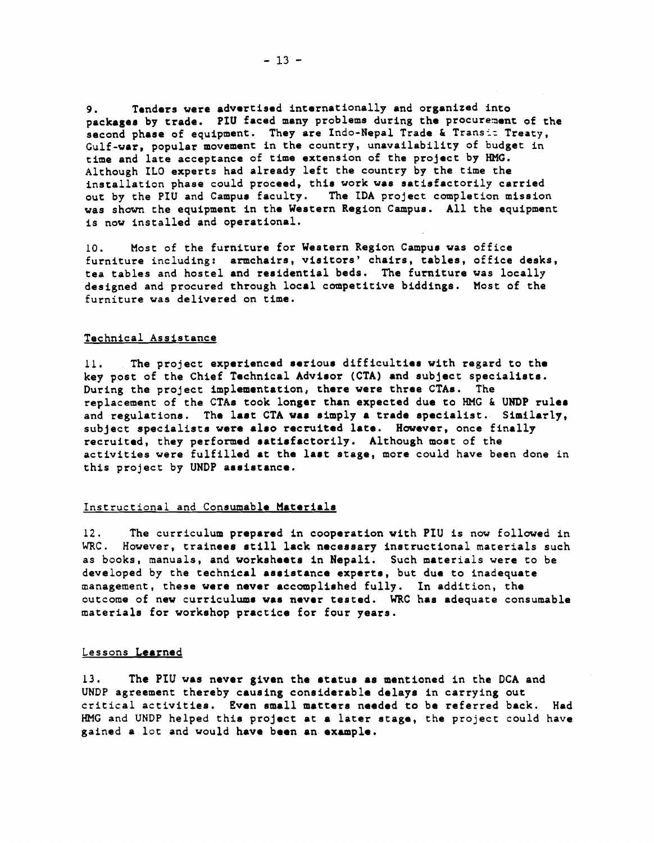**9.** Tenders were advertised internationally and organized into packages by trade. PIU faced many problems during the procurement of the second phase of equipment. They are Indo-Nepal Trade & Transit Treaty, Gulf-war, popular movement in the country, unavailability of budget in time and late acceptance of time extension of the project by **HMG.**  Although ILO experts had already left the country by the time the installation phase could proceed, this work was satisfactorily carried<br>out by the PIU and Campus faculty. The IDA project completion mission out by the PIU and Campus faculty. was shown the equipment in the Western Region Campus. All the equipment is now installed and operational.

10. Most of the furniture for Western Region Campus was office furniture including: armchairs, visitors' chairs, tables, office desks, tea tables and hostel and residential beds. The furniture was locally designed and procured through local competitive biddings. Most of the furniture was delivered on time.

#### Technical Assistance

11. The project experienced serious difficulties with regard to the key post of the Chief Technical Advisor (CTA) and subject specialists. During the project implementation, there were three CTAs. The replacement of the CTAs took longer than expected due to **KMG** & **UNDP** ruler and regulations. The last CTA was simply a trade specialist. Similarly, subject specialists were also recruited late. However, once finally recruited, they performed satisfactorily. Although most of the activities were fulfilled at the last stage, more could have been done in this project by UNDP assistance.

#### Instructional and Consumable Materials

12. The curriculum prepared in cooperation with PIU is now followed in WRC. However, trainees still lack necessary instructional materials such as books, manuals, and worksheets in Nepali. Such materials were to be developed by the technical assistance experts, but due to inadequate management, these were never accomplished fully. In addition, the outcome of new curriculums was never tested. WRC has adequate consumable materials for workshop practice for four years.

#### Lessons Learned

13. The PIU was never given the status as mentioned in the DCA and UNDP agreement thereby causing considerable delays in carrying out critical activities. Even small matters needed to be referred back. Had **HMG** and UNDP helped this project at a later stage, the project could have gained a lot and would have been an example.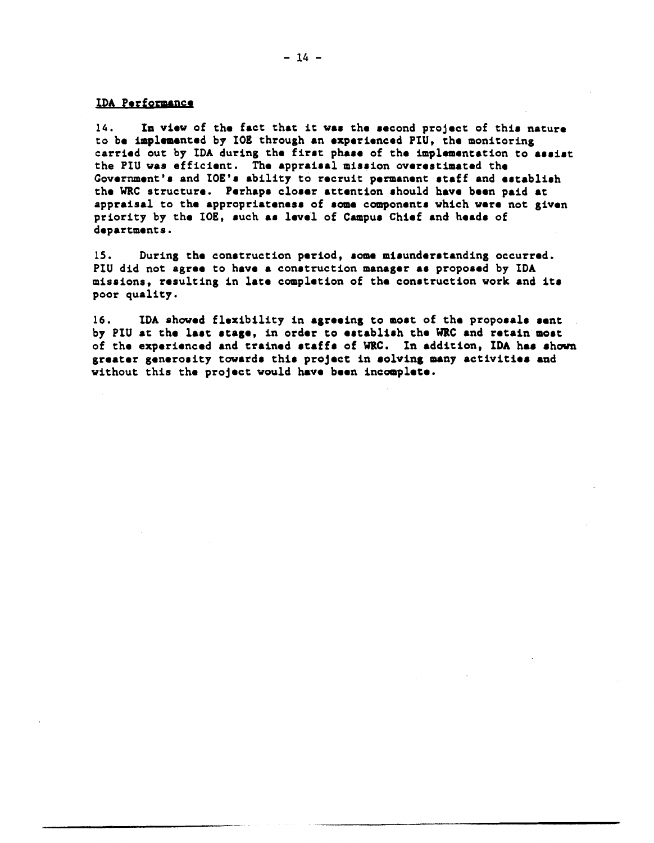#### **IDA Performance**

14. **In view of the fact that it was the second project of this nature to be implemanted by IOE through an experienced PXU, the monitoring**  carried out by IDA during the first phase of the implementation to assist the PIU was efficient. The appraisal mission overestimated the Government's and IOE's ability to recruit permanent staff and establish the WRC structure. Perhaps closer attention should have been paid at **appraisal to the appropriatenesr of roma component8 which were not given**  priority by the IOE, such as level of Campus Chief and heads of **departments.** 

15. During the construction period, some misunderstanding occurred. PIU did not agree to have a construction manager as proposed by IDA **missions, resulting in late completion of tha conrtruction work and itr poor quality.** 

16. **IDA showed flexibility in agreeing to most of the proposals sent** by PIU at the last stage, in order to establish the WRC and retain most of the experienced and trained staffs of WRC. In addition, IDA has shown greater generosity towards this project in solving many activities and **without this the project would have been incomplate.**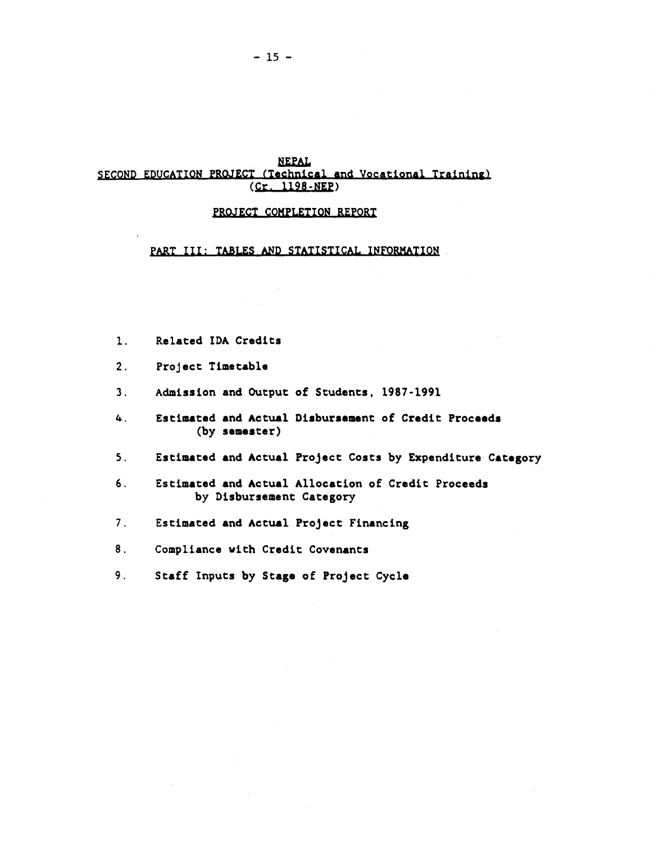#### NEPAL **SECOND EDUCATION PROJECT (Technical and Vocational Training) (Cr** . **1198 -Nu)**

#### PROJECT COMPLETION REPORT

#### PART III: TABLES AND STATISTICAL INFORMATION

- $\mathbf{1}$ . **Related IDA Credits**
- $2.$ **Pro j ect Time table**
- **Admission and Output of Students, 1987-1991**   $3<sub>1</sub>$
- **Estimated and Actual Disbursement of Credit Proceeds**  4. **(by semester)**
- **Estimated and Actual Project Costs by Expenditure Category**   $5<sub>1</sub>$
- $6.$ **Estimated and Actual Allocation of Credit Proceeds by Disbursement Category**
- $7.$ **Estimated and Actual Project Financing**
- $8.$ **Compliance with Credit Covenants**
- $9.$ Staff Inputs by Stage of Project Cycle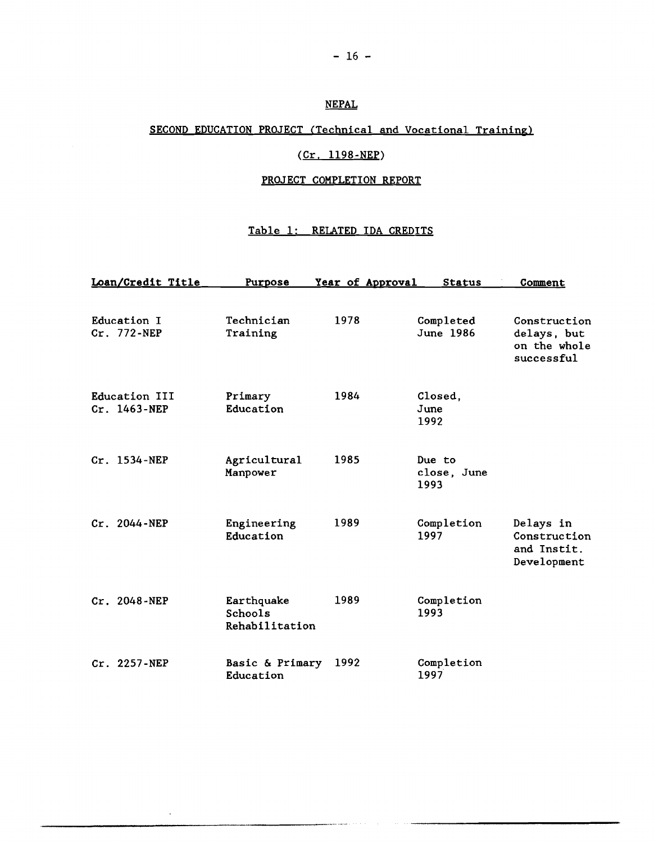#### NEPAL

## SECOND EDUCATION PROJECT (Technical and Vocational Training)

## (Cr. 1198-NEP)

## PROJECT COMPLETION REPORT

# Table 1: RELATED IDA CREDITS

| Loan/Credit Title               | Purpose                                 |      | Year of Approval<br><b>Status</b> | <b>Comment</b>                                            |
|---------------------------------|-----------------------------------------|------|-----------------------------------|-----------------------------------------------------------|
| Education I<br>$Cr. 772-NEP$    | Technician<br>Training                  | 1978 | Completed<br>June 1986            | Construction<br>delays, but<br>on the whole<br>successful |
| Education III<br>$Cr. 1463-NEP$ | Primary<br>Education                    | 1984 | Closed,<br>June<br>1992           |                                                           |
| $Cr. 1534-NEP$                  | Agricultural<br>Manpower                | 1985 | Due to<br>close, June<br>1993     |                                                           |
| $Cr. 2044-NEP$                  | Engineering<br>Education                | 1989 | Completion<br>1997                | Delays in<br>Construction<br>and Instit.<br>Development   |
| $Cr. 2048-NEP$                  | Earthquake<br>Schools<br>Rehabilitation | 1989 | Completion<br>1993                |                                                           |
| $Cr. 2257-NEP$                  | Basic & Primary<br>Education            | 1992 | Completion<br>1997                |                                                           |

.<br>Alikuwa da waka wakati ilikuwa kut

 $\Delta$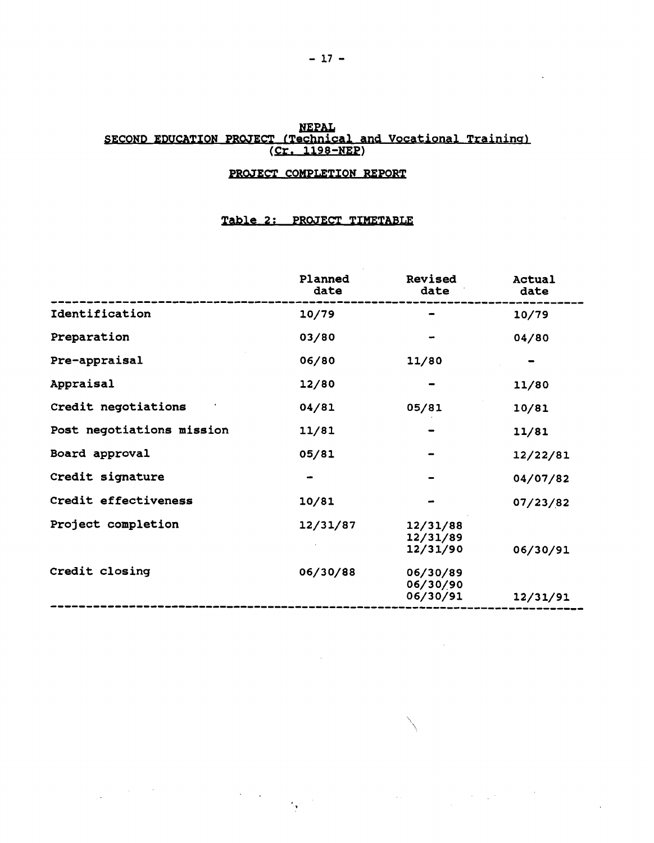# NEPAL SECOND EDUCATION PROJECT (Technical and Vocational Training)<br>(Cr. 1198-NEP)

#### PROJECT COMPLETION REPORT

# Table 2: PROJECT TIMETABLE

|                           | Planned<br>date | <b>Revised</b><br>date           | Actual<br>date |
|---------------------------|-----------------|----------------------------------|----------------|
| Identification            | 10/79           |                                  | 10/79          |
| Preparation               | 03/80           |                                  | 04/80          |
| Pre-appraisal             | 06/80           | 11/80                            |                |
| Appraisal                 | 12/80           |                                  | 11/80          |
| Credit negotiations       | 04/81           | 05/81                            | 10/81          |
| Post negotiations mission | 11/81           |                                  | 11/81          |
| Board approval            | 05/81           |                                  | 12/22/81       |
| Credit signature          |                 |                                  | 04/07/82       |
| Credit effectiveness      | 10/81           |                                  | 07/23/82       |
| Project completion        | 12/31/87        | 12/31/88<br>12/31/89<br>12/31/90 | 06/30/91       |
| Credit closing            | 06/30/88        | 06/30/89<br>06/30/90<br>06/30/91 | 12/31/91       |

 $\label{eq:2.1} \frac{1}{\sqrt{2\pi}}\int_{\mathbb{R}^3}\left|\frac{d\mathbf{x}}{d\mathbf{x}}\right|^2\,d\mathbf{x}^2\,d\mathbf{x}^2\,d\mathbf{x}^2\,d\mathbf{x}^2\,d\mathbf{x}^2\,d\mathbf{x}^2\,d\mathbf{x}^2\,d\mathbf{x}^2\,d\mathbf{x}^2\,d\mathbf{x}^2\,d\mathbf{x}^2\,d\mathbf{x}^2\,d\mathbf{x}^2\,d\mathbf{x}^2\,d\mathbf{x}^2\,d\mathbf{x}^2\,d\mathbf$  $\label{eq:2.1} \mathcal{L}_{\text{max}} = \frac{1}{\sqrt{2\pi}}\sum_{i=1}^{N} \frac{1}{\sqrt{2\pi}}\sum_{i=1}^{N} \frac{1}{\sqrt{2\pi}}\sum_{i=1}^{N} \frac{1}{\sqrt{2\pi}}\sum_{i=1}^{N} \frac{1}{\sqrt{2\pi}}\sum_{i=1}^{N} \frac{1}{\sqrt{2\pi}}\sum_{i=1}^{N} \frac{1}{\sqrt{2\pi}}\sum_{i=1}^{N} \frac{1}{\sqrt{2\pi}}\sum_{i=1}^{N} \frac{1}{\sqrt{2\pi}}\sum_{i=1}^{N} \$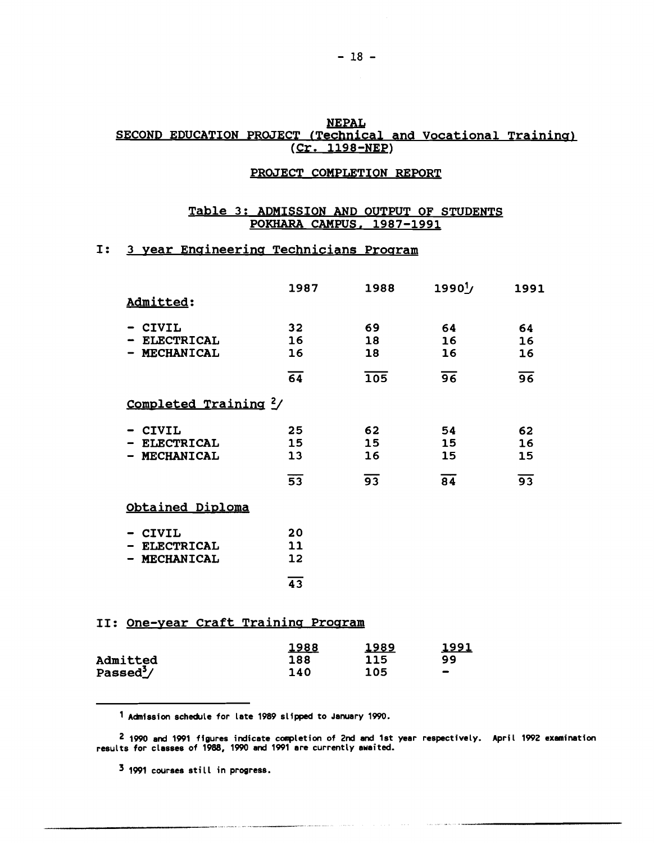#### **NEPAL** SECOND EDUCATION PROJECT (Technical and Vocational Training)  $(Cr. 1198-NEP)$

#### PROJECT COMPLETION REPORT

#### Table 3: ADMISSION AND OUTPUT OF STUDENTS POKHARA CAMPUS, 1987-1991

#### I: 3 year Engineering Technicians Program

|                                     | 1987            | 1988             | 1990 <sup>1</sup> | 1991            |
|-------------------------------------|-----------------|------------------|-------------------|-----------------|
| Admitted:                           |                 |                  |                   |                 |
| - CIVIL<br>- ELECTRICAL             | 32<br>16        | 69<br>18         | 64<br>16          | 64<br>16        |
| - MECHANICAL                        | 16              | 18               | 16                | 16              |
|                                     | $\overline{64}$ | $\overline{105}$ | $\overline{96}$   | $\overline{96}$ |
| Completed Training 2/               |                 |                  |                   |                 |
| - CIVIL                             | 25              | 62               | 54                | 62              |
| - ELECTRICAL                        | 15              | 15               | 15                | 16              |
| - MECHANICAL                        | 13              | 16               | 15                | 15              |
|                                     | $\overline{53}$ | $\overline{93}$  | $\overline{84}$   | $\overline{93}$ |
| Obtained Diploma                    |                 |                  |                   |                 |
| - CIVIL                             | 20              |                  |                   |                 |
| - ELECTRICAL                        | 11              |                  |                   |                 |
| - MECHANICAL                        | 12              |                  |                   |                 |
|                                     | $\overline{43}$ |                  |                   |                 |
|                                     |                 |                  |                   |                 |
| II: One-year Craft Training Program |                 |                  |                   |                 |

|          | 1988       | 1989 | <u> 1991</u> |
|----------|------------|------|--------------|
| Admitted | 188        | 115  | 99           |
| Passed?/ | <b>140</b> | 105  |              |

1 Admission schedule for late 1989 slipped to January 1990.

<sup>2</sup> 1990 and 1991 figures indicate completion of 2nd and 1st year respectively. April 1992 examination results for classes of 1988, 1990 and 1991 are currently awaited.

3 1991 courses still in progress.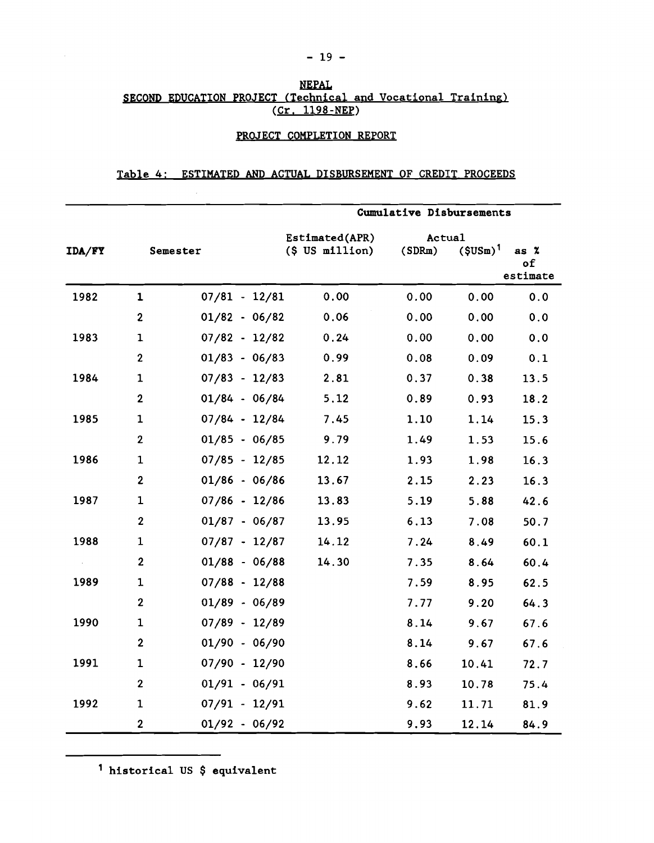#### **NEPAL** SECOND EDUCATION PROJECT (Technical and Vocational Training)  $(cr. 1198-NEP)$

#### PROJECT COMPLETION REPORT

## Table 4: ESTIMATED AND ACTUAL DISBURSEMENT OF CREDIT PROCEEDS

|        |                  |                 |                   | Cumulative Disbursements |            |                        |
|--------|------------------|-----------------|-------------------|--------------------------|------------|------------------------|
|        |                  |                 | Estimated(APR)    | <b>Actual</b>            |            |                        |
| IDA/FY |                  | Semester        | $(\S US million)$ | (SDRm)                   | $(SUSm)^1$ | as %<br>оf<br>estimate |
| 1982   | $\mathbf{1}$     | $07/81 - 12/81$ | 0.00              | 0.00                     | 0.00       | 0.0                    |
|        | $\mathbf{2}$     | $01/82 - 06/82$ | 0.06              | 0.00                     | 0.00       | 0.0                    |
| 1983   | $\mathbf{1}$     | $07/82 - 12/82$ | 0.24              | 0.00                     | 0.00       | 0.0                    |
|        | $\overline{2}$   | $01/83 - 06/83$ | 0.99              | 0.08                     | 0.09       | 0.1                    |
| 1984   | 1                | $07/83 - 12/83$ | 2.81              | 0.37                     | 0.38       | 13.5                   |
|        | $\overline{2}$   | $01/84 - 06/84$ | 5.12              | 0.89                     | 0.93       | 18.2                   |
| 1985   | $\mathbf{1}$     | $07/84 - 12/84$ | 7.45              | 1.10                     | 1.14       | 15.3                   |
|        | $\overline{2}$   | $01/85 - 06/85$ | 9.79              | 1.49                     | 1.53       | 15.6                   |
| 1986   | $\mathbf{1}$     | $07/85 - 12/85$ | 12.12             | 1.93                     | 1.98       | 16.3                   |
|        | $\mathbf{2}$     | $01/86 - 06/86$ | 13.67             | 2.15                     | 2.23       | 16.3                   |
| 1987   | $\mathbf{1}$     | $07/86 - 12/86$ | 13.83             | 5.19                     | 5.88       | 42.6                   |
|        | $\mathbf{2}$     | $01/87 - 06/87$ | 13.95             | 6.13                     | 7.08       | 50.7                   |
| 1988   | $\mathbf{1}$     | $07/87 - 12/87$ | 14.12             | 7.24                     | 8.49       | 60.1                   |
|        | $\boldsymbol{2}$ | $01/88 - 06/88$ | 14.30             | 7.35                     | 8.64       | 60.4                   |
| 1989   | $\mathbf{1}$     | $07/88 - 12/88$ |                   | 7.59                     | 8.95       | 62.5                   |
|        | $\boldsymbol{2}$ | $01/89 - 06/89$ |                   | 7.77                     | 9.20       | 64.3                   |
| 1990   | $\mathbf{1}$     | $07/89 - 12/89$ |                   | 8.14                     | 9.67       | 67.6                   |
|        | $\mathbf{2}$     | $01/90 - 06/90$ |                   | 8.14                     | 9.67       | 67.6                   |
| 1991   | $\mathbf 1$      | $07/90 - 12/90$ |                   | 8.66                     | 10.41      | 72.7                   |
|        | $\overline{2}$   | $01/91 - 06/91$ |                   | 8.93                     | 10.78      | 75.4                   |
| 1992   | 1                | $07/91 - 12/91$ |                   | 9.62                     | 11.71      | 81.9                   |
|        | $\mathbf{2}$     | $01/92 - 06/92$ |                   | 9.93                     | 12.14      | 84.9                   |

<sup>1</sup> historical US \$ equivalent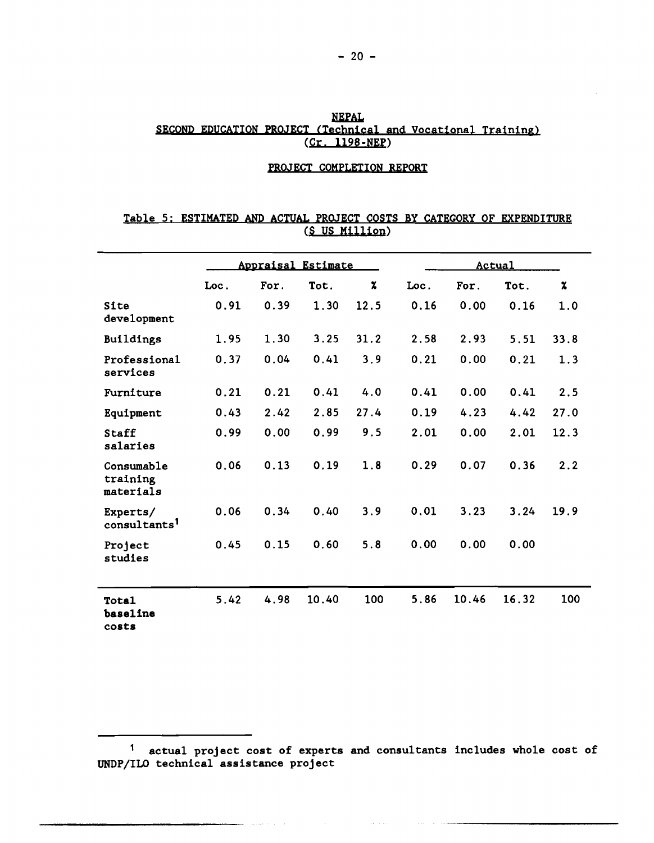#### **NEPAL SECOND EDUCATION PROJECT (Technical and Vocational Trainine) (Cr** . **1198-NEP)**

#### **PROJECT COMPLETION REPORT**

#### Table 5: ESTIMATED AND ACTUAL PROJECT COSTS BY CATEGORY OF EXPENDITURE (\$ **US Million)**

|                                      |      | Appraisal | Estimate |                           |      |       | Actual |                     |
|--------------------------------------|------|-----------|----------|---------------------------|------|-------|--------|---------------------|
|                                      | Loc. | For.      | Tot.     | $\boldsymbol{\mathsf{x}}$ | Loc. | For.  | Tot.   | $\boldsymbol{\chi}$ |
| Site<br>development                  | 0.91 | 0.39      | 1.30     | 12.5                      | 0.16 | 0.00  | 0.16   | 1.0                 |
| Buildings                            | 1.95 | 1.30      | 3.25     | 31.2                      | 2.58 | 2.93  | 5.51   | 33.8                |
| Professional<br>services             | 0.37 | 0.04      | 0.41     | 3.9                       | 0.21 | 0.00  | 0.21   | 1.3                 |
| Furniture                            | 0.21 | 0.21      | 0.41     | 4.0                       | 0.41 | 0.00  | 0.41   | 2.5                 |
| Equipment                            | 0.43 | 2.42      | 2.85     | 27.4                      | 0.19 | 4.23  | 4.42   | 27.0                |
| Staff<br>salaries                    | 0.99 | 0.00      | 0.99     | 9.5                       | 2.01 | 0.00  | 2.01   | 12.3                |
| Consumable<br>training<br>materials  | 0.06 | 0.13      | 0.19     | 1.8                       | 0.29 | 0.07  | 0.36   | 2.2                 |
| Experts/<br>consultants <sup>1</sup> | 0.06 | 0.34      | 0.40     | 3.9                       | 0.01 | 3.23  | 3.24   | 19.9                |
| Project<br>studies                   | 0.45 | 0.15      | 0.60     | 5.8                       | 0.00 | 0.00  | 0.00   |                     |
| <b>Total</b><br>baseline<br>costs    | 5.42 | 4.98      | 10.40    | 100                       | 5.86 | 10.46 | 16.32  | 100                 |

and the company

. . . . . . . . . .

**actual project cost of experts and consultants includes whole cost of UNDP/ILO technical assistance project**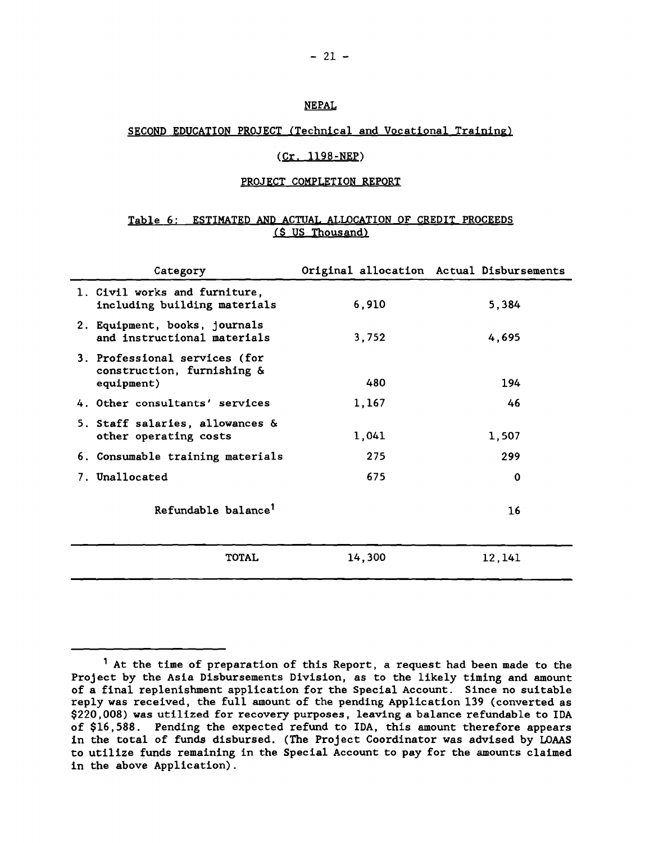#### NEPAL

#### SECOND EDUCATION PROJECT (Technical and Vocational Training)

#### (Cr. 1198-NEP)

#### PROJECT COMPLETION REPORT

#### Table 6: ESTIMATED AND ACTUAL ALLOCATION OF CREDIT PROCEEDS (\$ US Thousand)

| Category                                                                  |        | Original allocation Actual Disbursements |
|---------------------------------------------------------------------------|--------|------------------------------------------|
| 1. Civil works and furniture,<br>including building materials             | 6,910  | 5,384                                    |
| 2. Equipment, books, journals<br>and instructional materials              | 3,752  | 4,695                                    |
| 3. Professional services (for<br>construction, furnishing &<br>equipment) | 480    | 194                                      |
| 4. Other consultants' services                                            | 1,167  | 46                                       |
| 5. Staff salaries, allowances &<br>other operating costs                  | 1,041  | 1,507                                    |
| 6. Consumable training materials                                          | 275    | 299                                      |
| 7. Unallocated                                                            | 675    | 0                                        |
| Refundable balance <sup>1</sup>                                           |        | 16                                       |
| <b>TOTAL</b>                                                              | 14,300 | 12,141                                   |

 $<sup>1</sup>$  At the time of preparation of this Report, a request had been made to the</sup> Project by the Asia Disbursements Division, as to the likely timing and amount of a final replenishment application for the Special Account. Since no suitable reply was received, the full amount of the pending Application 139 (converted as \$220,008) was utilized for recovery purposes, leaving a balance refundable to IDA of \$16,588. Pending the expected refund to IDA, this amount therefore appears in the total of funds disbursed. (The Project Coordinator was advised by LOAAS to utilize funds remaining in the Special Account to pay for the amounts claimed in the above Application).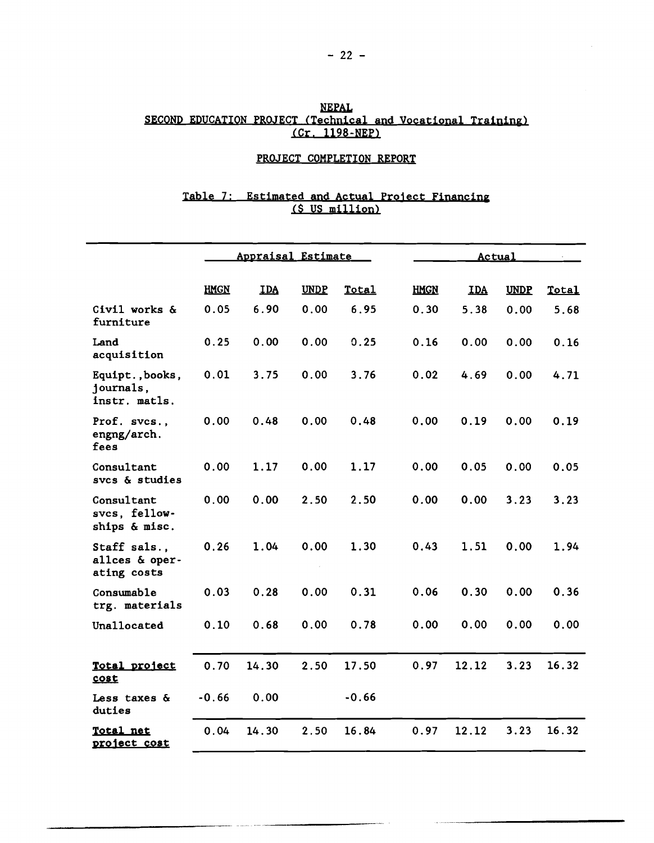# NEPAL<br>SECOND EDUCATION PROJECT (Technical and Vocational Training) **Cr. 1198-NEP)**

|                                                                              |             |                    |             | $-22 -$                                                                      |             |              |             |              |
|------------------------------------------------------------------------------|-------------|--------------------|-------------|------------------------------------------------------------------------------|-------------|--------------|-------------|--------------|
|                                                                              |             |                    |             |                                                                              |             |              |             |              |
|                                                                              |             |                    |             | <b>NEPAL</b><br>SECOND EDUCATION PROJECT (Technical and Vocational Training) |             |              |             |              |
|                                                                              |             |                    |             | (Cr. 1198-NEP)<br>PROJECT COMPLETION REPORT                                  |             |              |             |              |
|                                                                              |             |                    |             |                                                                              |             |              |             |              |
|                                                                              |             |                    |             | Table 7: Estimated and Actual Project Financing<br>(\$ US million)           |             |              |             |              |
|                                                                              |             | Appraisal Estimate |             |                                                                              |             | Actual       |             | $\alpha$ .   |
|                                                                              | <b>HMGN</b> |                    |             |                                                                              |             |              |             |              |
|                                                                              |             | IDA                | <b>UNDP</b> | <b>Total</b>                                                                 | <b>HMGN</b> | IDA          | <b>UNDP</b> | Total        |
| Civil works &<br>furniture                                                   | 0.05        | 6.90               | 0.00        | 6.95                                                                         | 0.30        | 5.38         | 0.00        | 5.68         |
| Land<br>acquisition                                                          | 0.25        | 0.00               | 0.00        | 0.25                                                                         | 0.16        | 0.00         | 0.00        | 0.16         |
| Equipt., books,<br>journals,<br>instr. matls.                                | 0.01        | 3.75               | 0.00        | 3.76                                                                         | 0.02        | 4.69         | 0.00        | 4.71         |
| Prof. svcs.,<br>engng/arch.<br>fees                                          | 0.00        | 0.48               | 0.00        | 0.48                                                                         | 0.00        | 0.19         | 0.00        | 0.19         |
|                                                                              | 0.00        | 1.17               | 0.00        | 1.17                                                                         | 0.00        | 0.05         | 0.00        | 0.05         |
| Consultant<br>svcs & studies<br>Consultant<br>svcs, fellow-<br>ships & misc. | 0.00        | 0.00               | 2.50        | 2.50                                                                         | 0.00        | 0.00         | 3.23        | 3.23         |
| Staff sals.,<br>allces & oper-<br>ating costs                                | 0.26        | 1.04               | 0.00        | 1.30                                                                         | 0.43        | 1.51         | 0.00        | 1.94         |
| Consumable<br>trg. materials                                                 | 0.03        | 0.28               | 0.00        | 0.31                                                                         | 0.06        | 0.30         | 0.00        | 0.36         |
| Unallocated                                                                  | 0.10        | 0.68               | 0.00        | 0.78                                                                         | 0.00        | 0.00         | 0.00        | 0.00         |
| Total project                                                                | 0.70        | 14.30              | 2.50        | 17.50                                                                        |             | $0.97$ 12.12 |             | $3.23$ 16.32 |
| cost<br>Less taxes &<br>duties                                               | $-0.66$     | 0.00               |             | $-0.66$                                                                      |             |              |             |              |

 $\alpha$  is a map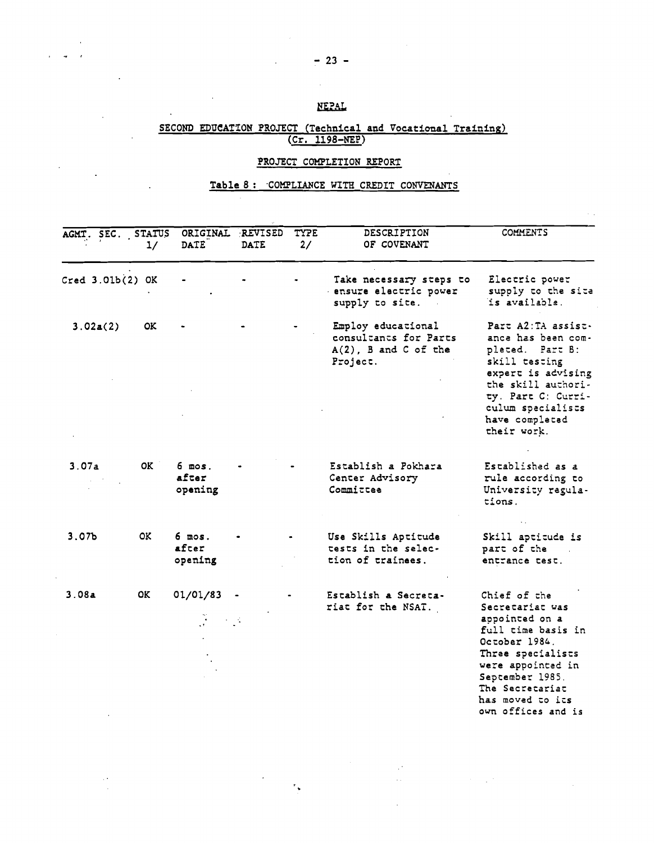#### NEPAL

# SECOND EDUCATION PROJECT (Technical and Vocational Training)<br>(Cr. 1198-NEP)

#### PROJECT COMPLETION REPORT

#### Table 8: COMPLIANCE WITH CREDIT CONVENANTS

| AGMT. SEC. STATUS  | 1/        | ORIGINAL<br><b>DATE</b>                             | REVISED<br>DATE | TYPE<br>2/ | DESCRIPTION<br>OF COVENANT                                                         | <b>COMMENTS</b>                                                                                                                                                                                                    |
|--------------------|-----------|-----------------------------------------------------|-----------------|------------|------------------------------------------------------------------------------------|--------------------------------------------------------------------------------------------------------------------------------------------------------------------------------------------------------------------|
| Cred $3.01b(2)$ OK |           |                                                     |                 |            | Take necessary steps to<br>ensure electric power<br>supply to site.                | Electric power<br>supply to the site<br>is available.                                                                                                                                                              |
| 3.02a(2)           | <b>OK</b> |                                                     |                 |            | Employ educational<br>consultants for Parts<br>$A(2)$ , B and C of the<br>Project. | Part A2: TA assist.<br>ance has been com-<br>pleted. Part B:<br>skill testing<br>expert is advising<br>the skill authori-<br>ty. Part C: Curri-<br>culum specialists<br>have completed<br>their work.              |
| 3.07a              | OK        | 6 mos.<br>after<br>opening                          |                 |            | Establish a Pokhara<br>Center Advisory<br>Committee                                | Established as a<br>rule according to<br>University regula-<br>tions.                                                                                                                                              |
| 3.07Ъ              | 0K.       | 6 mos.<br>after<br>opening                          |                 |            | Use Skills Aptitude<br>tests in the selec-<br>tion of trainees.                    | Skill aptitude is<br>part of the<br>entrance test.                                                                                                                                                                 |
| 3.08a              | ΟK        | 01/01/83<br>$\mathcal{L}^{\text{max}}_{\text{max}}$ |                 |            | Establish a Secreta-<br>riat for the NSAT.                                         | Chief of the<br>Secretariat was<br>appointed on a<br>full time basis in<br>October 1984.<br>Three specialists<br>were appointed in<br>September 1985.<br>The Secretariat<br>has moved to its<br>own offices and is |

 $\frac{1}{2}$ 

 $\frac{1}{2}$  ,  $\frac{1}{2}$ 

 $\mathbb{R}^2$ 

 $\sim 10$ 

 $\label{eq:2.1} \mathcal{L}(\mathcal{L}^{\text{max}}_{\mathcal{L}}(\mathcal{L}^{\text{max}}_{\mathcal{L}}),\mathcal{L}^{\text{max}}_{\mathcal{L}}(\mathcal{L}^{\text{max}}_{\mathcal{L}}))$ 

 $\ddot{\phantom{a}}$ 

 $\overline{a}$ 

 $\bar{a}$  $\alpha$  and  $\alpha$  and  $\alpha$ 

 $\hat{\mathcal{A}}$ 

 $\ddot{\phantom{a}}$ 

 $\sim$  13

 $\bar{\beta}$ 

 $\ddot{\phantom{a}}$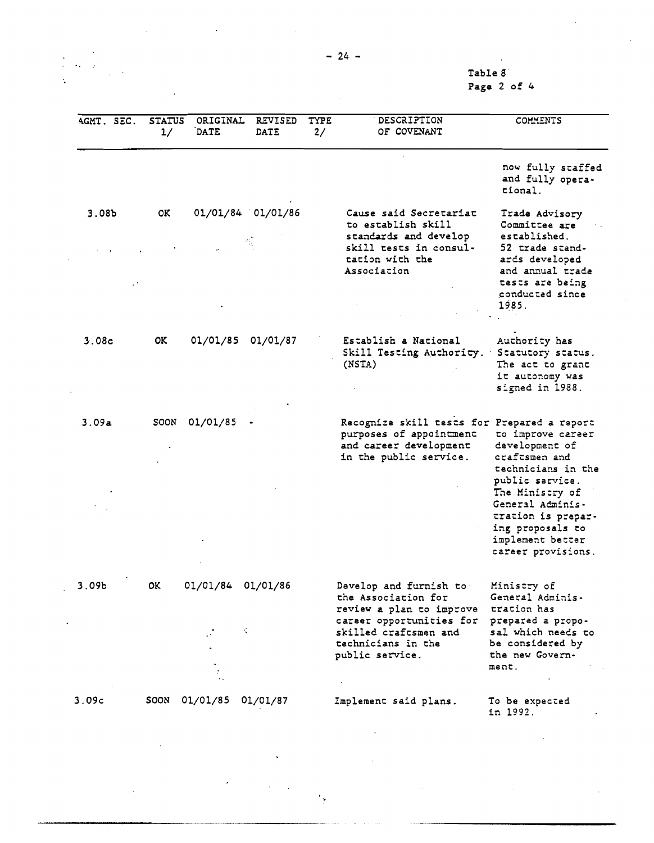$-24-$ 

 $\begin{bmatrix} 1 & 0 \\ 0 & 0 \\ 0 & 0 \end{bmatrix} \begin{bmatrix} 1 \\ 0 \\ 0 \\ 0 \end{bmatrix}$ 

 $\overline{a}$ 

 $\hat{\boldsymbol{\beta}}$ 

 $\bar{\mathcal{A}}$  $\ddot{\phantom{a}}$ 

 $\epsilon_{\rm m}$ 

| AGMT. SEC.        | <b>STATUS</b><br>1/ | ORIGINAL<br>DATE  | REVISED<br><b>DATE</b> | TYPE<br>2/ | DESCRIPTION<br>OF COVENANT                                                                                                                                               | COMMENTS                                                                                                                                                   |
|-------------------|---------------------|-------------------|------------------------|------------|--------------------------------------------------------------------------------------------------------------------------------------------------------------------------|------------------------------------------------------------------------------------------------------------------------------------------------------------|
|                   |                     |                   |                        |            |                                                                                                                                                                          | now fully staffed<br>and fully opera-<br>tional.                                                                                                           |
| 3.08 <sub>b</sub> | 0K                  |                   | 01/01/84 01/01/86      |            | Cause said Secretariat<br>to establish skill<br>standards and develop<br>skill tests in consul-<br>tation with the<br>Association                                        | Trade Advisory<br>Committee are<br>established.<br>52 trade stand-<br>ards developed<br>and annual trade<br>tests are being<br>conducted since<br>1985.    |
| 3.08c             | ΟК                  | 01/01/85          | 01/01/87               |            | Establish a National<br>Skill Testing Authority. Statutory status.<br>(NSTA)                                                                                             | Authority has<br>The act to grant<br>it autonomy was<br>signed in 1988.                                                                                    |
| 3.09a             | <b>SOON</b>         | 01/01/85          |                        |            | Recognize skill tests for Prepared a report<br>purposes of appointment<br>and career development<br>in the public service.                                               | to improve career<br>development of<br>craftsmen and<br>technicians in the<br>public sarvice.<br>The Ministry of<br>General Adminis-<br>tration is prepar- |
|                   |                     |                   |                        |            |                                                                                                                                                                          | ing proposals to<br>implement better<br>career provisions.                                                                                                 |
| 3.09b             | 0K                  | 01/01/84 01/01/86 | ÷                      |            | Develop and furnish to:<br>the Association for<br>review a plan to improve<br>career opportunities for<br>skilled craftsmen and<br>technicians in the<br>public service. | Ministry of<br>General Adminis-<br>tration has<br>prepared a propo-<br>sal which needs to<br>be considered by<br>the new Govern-<br>ment.                  |
| 3.09c             | SOON                | 01/01/85          | 01/01/87               |            | Implement said plans.                                                                                                                                                    | To be expected<br>in 1992.                                                                                                                                 |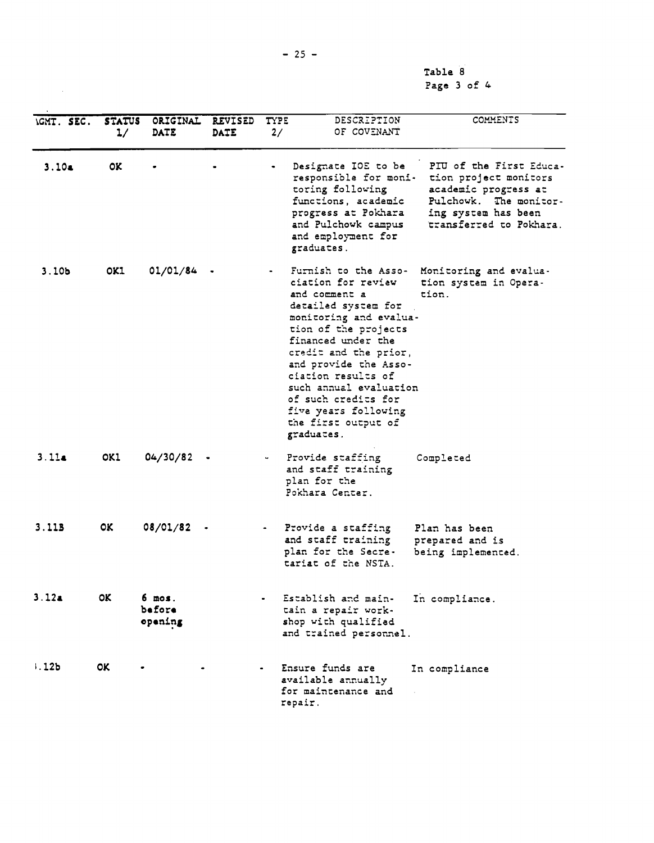| Table 8         |  |  |
|-----------------|--|--|
| Page $3$ of $4$ |  |  |

|                   |                     |                             |                        |            |                                                                                                                                                                                                                                                                                                                                                  | Table 8<br>Page 3 of 4                                                                                                                               |
|-------------------|---------------------|-----------------------------|------------------------|------------|--------------------------------------------------------------------------------------------------------------------------------------------------------------------------------------------------------------------------------------------------------------------------------------------------------------------------------------------------|------------------------------------------------------------------------------------------------------------------------------------------------------|
| <b>IGMT. SEC.</b> | <b>STATUS</b><br>1/ | ORIGINAL<br>DATE            | <b>REVISED</b><br>DATE | TYPE<br>2/ | DESCRIPTION<br>OF COVENANT                                                                                                                                                                                                                                                                                                                       | <b>COMMENTS</b>                                                                                                                                      |
| 3.104             | 0K                  |                             |                        |            | Designate IOE to be<br>responsible for moni-<br>toring following<br>functions, academic<br>progress at Pokhara<br>and Pulchowk campus<br>and employment for<br>graduates.                                                                                                                                                                        | PIU of the First Educa-<br>tion project monitors<br>academic progress at<br>Pulchowk. The monitor-<br>ing system has been<br>transferred to Pokhara. |
| 3.10 <sub>b</sub> | OK1                 | 01/01/84                    |                        |            | Furnish to the Asso-<br>ciation for review<br>and comment a<br>detailed system for<br>monitoring and evalua-<br>tion of the projects<br>financed under the<br>credit and the prior,<br>and provide the Asso-<br>ciation results of<br>such annual evaluation<br>of such credits for<br>five years following<br>the first output of<br>graduates. | Monitoring and evalua-<br>tion system in Opera-<br>tion.                                                                                             |
| 3.11a             | <b>OKI</b>          | 04/30/82                    |                        |            | Provide staffing<br>and staff training<br>plan for the<br>Pokhara Center.                                                                                                                                                                                                                                                                        | Completed                                                                                                                                            |
| 3.11B             | ok                  | 08/01/82                    |                        |            | Provide a staffing<br>and staff training<br>plan for the Secre-<br>tariat of the NSTA.                                                                                                                                                                                                                                                           | Plan has been<br>prepared and is<br>being implemented.                                                                                               |
| 3.124             | ОK                  | 6 mos.<br>before<br>opening |                        |            | - Establish and main-<br>tain a repair work-<br>shop with qualified<br>and trained personnel.                                                                                                                                                                                                                                                    | In compliance.                                                                                                                                       |
| 1.12 <sub>b</sub> | 0K                  |                             |                        |            | Ensure funds are<br>available annually<br>for maintenance and<br>repair.                                                                                                                                                                                                                                                                         | In compliance                                                                                                                                        |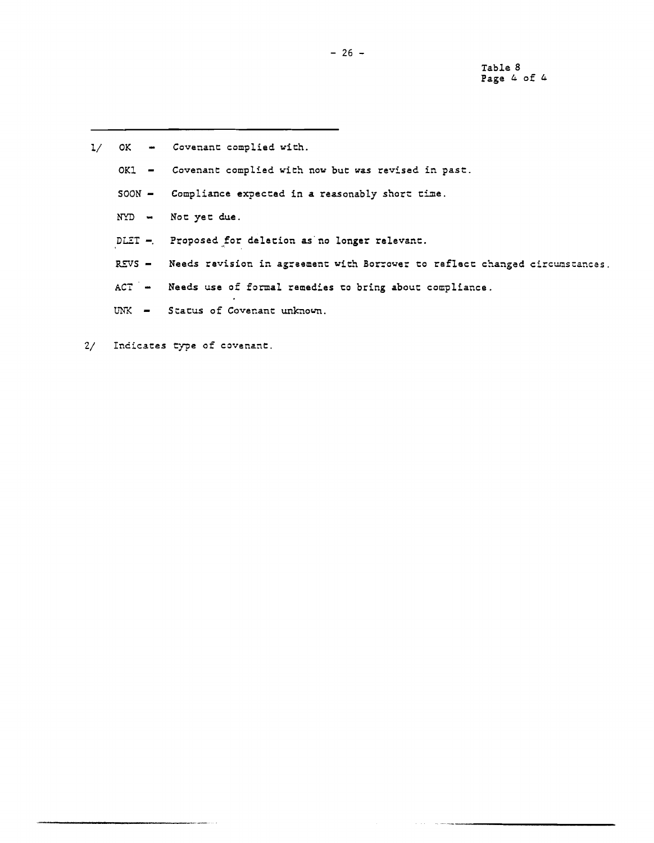- $1/$  OK Covenant complied with.
	- OK1 Covenant complied with now but was revised in past.
	- SOON Compliance expected in a reasonably short time.
	- NYD Not yet due.
	- DLET -. Proposed for deletion as no longer relevant.
	- REVS Needs revision in agreement with Borrower to reflect changed circumstances.
	- ACT Needs use of formal remedies to bring about compliance.
	- UNK Status of Covenant unknown.
- $2/$ Indicates type of covenant.

an<br>Album Maria Caracteristic Collection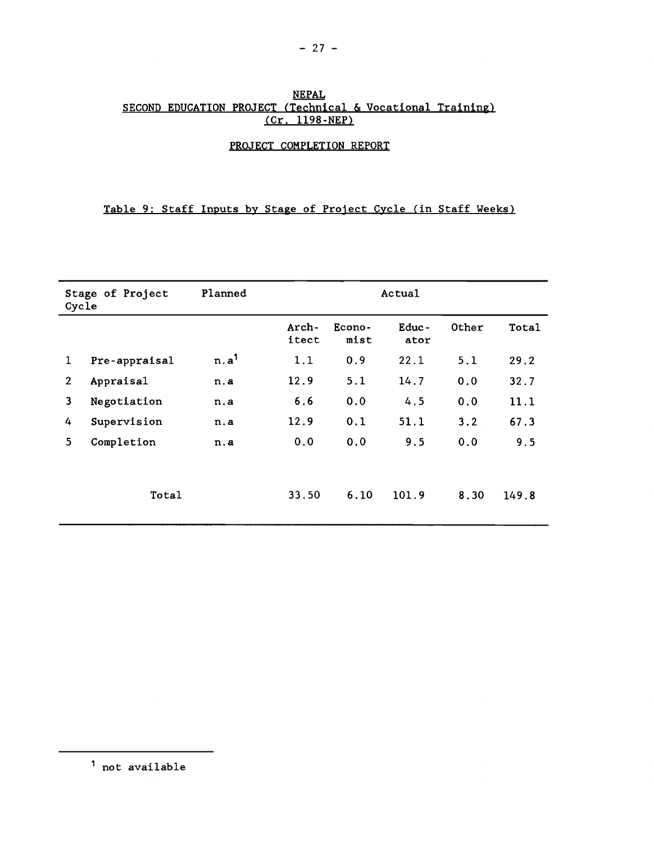#### NEPAL SECOND EDUCATION PROJECT (Technical & Vocational Training) (Cr. 1198-NEP)

#### PROJECT COMPLETION REPORT

#### Table 9: Staff Inputs by Stage of Project Cycle (in Staff Weeks)

| Stage of Project<br>Cycle |               | Planned          | Actual         |                |               |       |       |  |
|---------------------------|---------------|------------------|----------------|----------------|---------------|-------|-------|--|
|                           |               |                  | Arch-<br>itect | Econo-<br>mist | Educ-<br>ator | Other | Total |  |
| 1                         | Pre-appraisal | n.a <sup>1</sup> | 1.1            | 0.9            | 22.1          | 5.1   | 29.2  |  |
| $\mathbf{2}$              | Appraisal     | n.a              | 12.9           | 5.1            | 14.7          | 0.0   | 32.7  |  |
| 3                         | Negotiation   | n.a              | 6.6            | 0.0            | 4.5           | 0.0   | 11.1  |  |
| 4                         | Supervision   | n.a              | 12.9           | 0.1            | 51.1          | 3.2   | 67.3  |  |
| 5                         | Completion    | n, a             | 0, 0           | 0, 0           | 9.5           | 0.0   | 9.5   |  |
|                           | Total         |                  | 33.50          | 6.10           | 101.9         | 8.30  | 149.8 |  |

<sup>1</sup> not available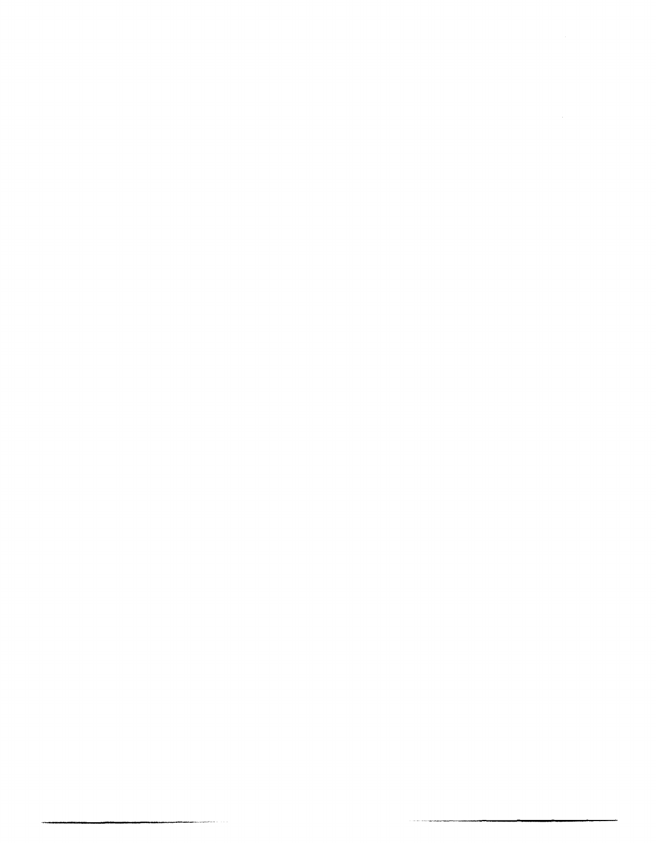ako erreg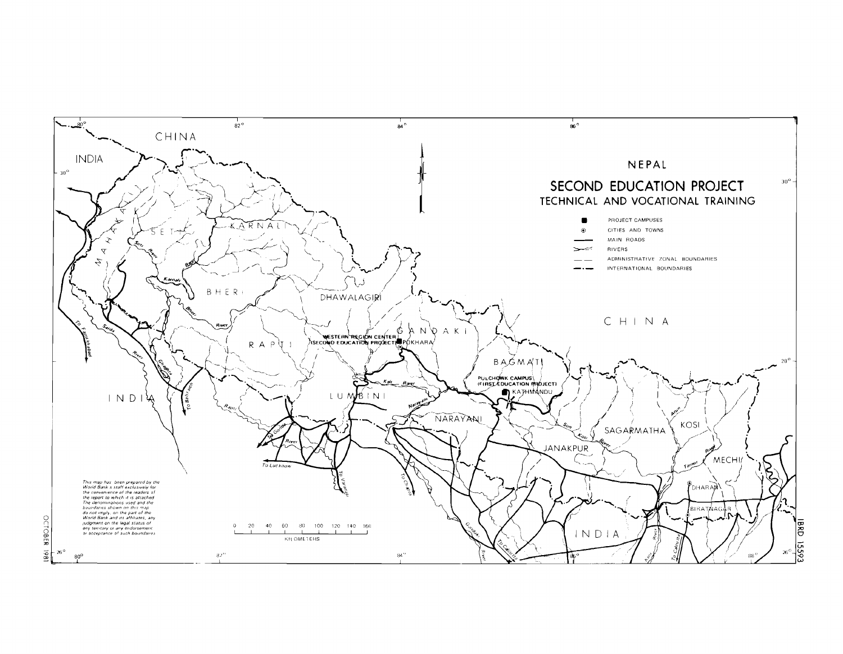